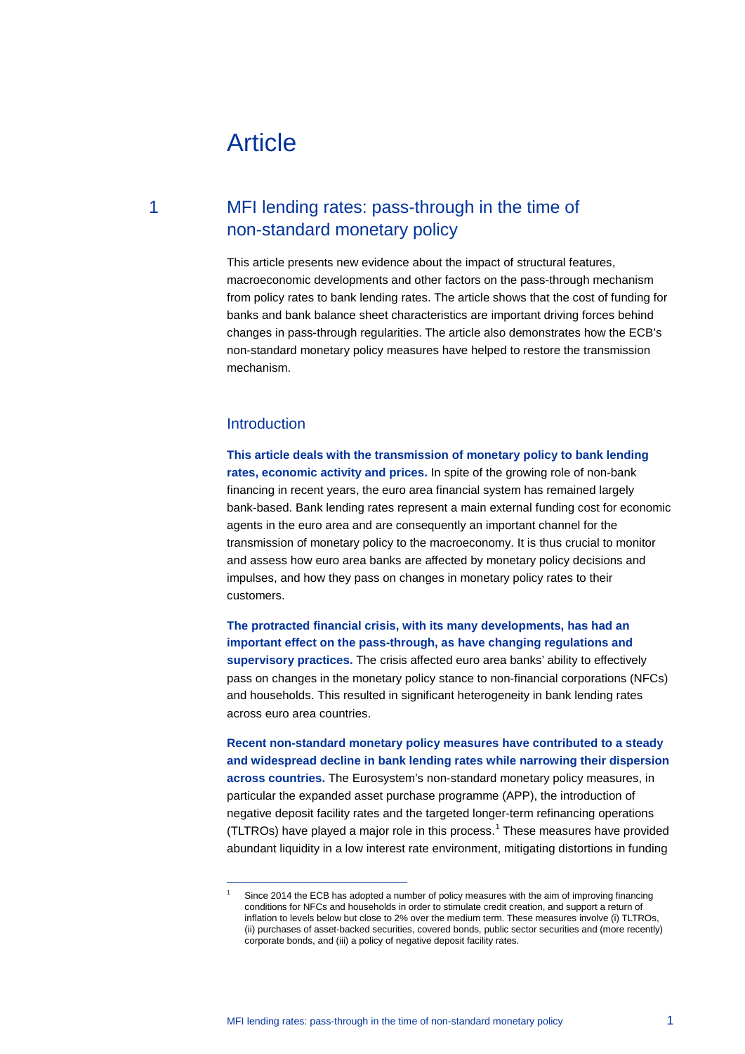# Article

## 1 MFI lending rates: pass-through in the time of non-standard monetary policy

This article presents new evidence about the impact of structural features, macroeconomic developments and other factors on the pass-through mechanism from policy rates to bank lending rates. The article shows that the cost of funding for banks and bank balance sheet characteristics are important driving forces behind changes in pass-through regularities. The article also demonstrates how the ECB's non-standard monetary policy measures have helped to restore the transmission mechanism.

## Introduction

<span id="page-0-0"></span>-

**This article deals with the transmission of monetary policy to bank lending rates, economic activity and prices.** In spite of the growing role of non-bank financing in recent years, the euro area financial system has remained largely bank-based. Bank lending rates represent a main external funding cost for economic agents in the euro area and are consequently an important channel for the transmission of monetary policy to the macroeconomy. It is thus crucial to monitor and assess how euro area banks are affected by monetary policy decisions and impulses, and how they pass on changes in monetary policy rates to their customers.

**The protracted financial crisis, with its many developments, has had an important effect on the pass-through, as have changing regulations and supervisory practices.** The crisis affected euro area banks' ability to effectively pass on changes in the monetary policy stance to non-financial corporations (NFCs) and households. This resulted in significant heterogeneity in bank lending rates across euro area countries.

**Recent non-standard monetary policy measures have contributed to a steady and widespread decline in bank lending rates while narrowing their dispersion across countries.** The Eurosystem's non-standard monetary policy measures, in particular the expanded asset purchase programme (APP), the introduction of negative deposit facility rates and the targeted longer-term refinancing operations (TLTROs) have played a major role in this process.<sup>[1](#page-0-0)</sup> These measures have provided abundant liquidity in a low interest rate environment, mitigating distortions in funding

Since 2014 the ECB has adopted a number of policy measures with the aim of improving financing conditions for NFCs and households in order to stimulate credit creation, and support a return of inflation to levels below but close to 2% over the medium term. These measures involve (i) TLTROs, (ii) purchases of asset-backed securities, covered bonds, public sector securities and (more recently) corporate bonds, and (iii) a policy of negative deposit facility rates.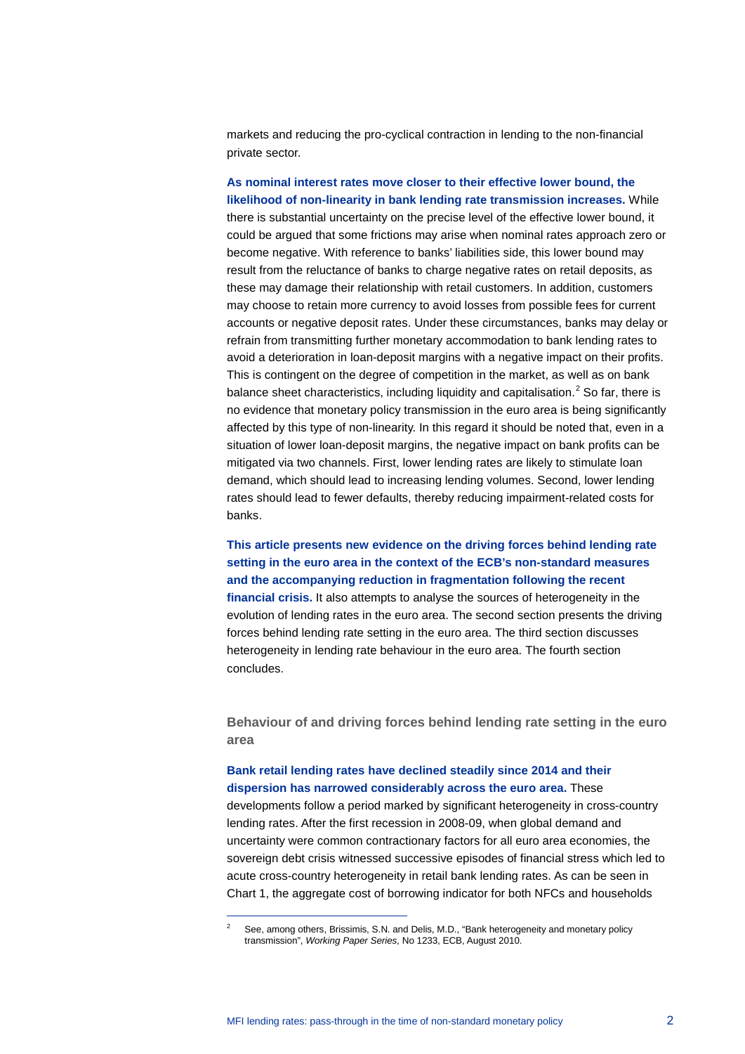markets and reducing the pro-cyclical contraction in lending to the non-financial private sector.

**As nominal interest rates move closer to their effective lower bound, the likelihood of non-linearity in bank lending rate transmission increases.** While there is substantial uncertainty on the precise level of the effective lower bound, it could be argued that some frictions may arise when nominal rates approach zero or become negative. With reference to banks' liabilities side, this lower bound may result from the reluctance of banks to charge negative rates on retail deposits, as these may damage their relationship with retail customers. In addition, customers may choose to retain more currency to avoid losses from possible fees for current accounts or negative deposit rates. Under these circumstances, banks may delay or refrain from transmitting further monetary accommodation to bank lending rates to avoid a deterioration in loan-deposit margins with a negative impact on their profits. This is contingent on the degree of competition in the market, as well as on bank balance sheet characteristics, including liquidity and capitalisation. $2$  So far, there is no evidence that monetary policy transmission in the euro area is being significantly affected by this type of non-linearity. In this regard it should be noted that, even in a situation of lower loan-deposit margins, the negative impact on bank profits can be mitigated via two channels. First, lower lending rates are likely to stimulate loan demand, which should lead to increasing lending volumes. Second, lower lending rates should lead to fewer defaults, thereby reducing impairment-related costs for banks.

**This article presents new evidence on the driving forces behind lending rate setting in the euro area in the context of the ECB's non-standard measures and the accompanying reduction in fragmentation following the recent financial crisis.** It also attempts to analyse the sources of heterogeneity in the evolution of lending rates in the euro area. The second section presents the driving forces behind lending rate setting in the euro area. The third section discusses heterogeneity in lending rate behaviour in the euro area. The fourth section concludes.

**Behaviour of and driving forces behind lending rate setting in the euro area**

#### **Bank retail lending rates have declined steadily since 2014 and their dispersion has narrowed considerably across the euro area.** These

developments follow a period marked by significant heterogeneity in cross-country lending rates. After the first recession in 2008-09, when global demand and uncertainty were common contractionary factors for all euro area economies, the sovereign debt crisis witnessed successive episodes of financial stress which led to acute cross-country heterogeneity in retail bank lending rates. As can be seen in Chart 1, the aggregate cost of borrowing indicator for both NFCs and households

<span id="page-1-0"></span>See, among others, Brissimis, S.N. and Delis, M.D., "Bank heterogeneity and monetary policy transmission", *Working Paper Series*, No 1233, ECB, August 2010.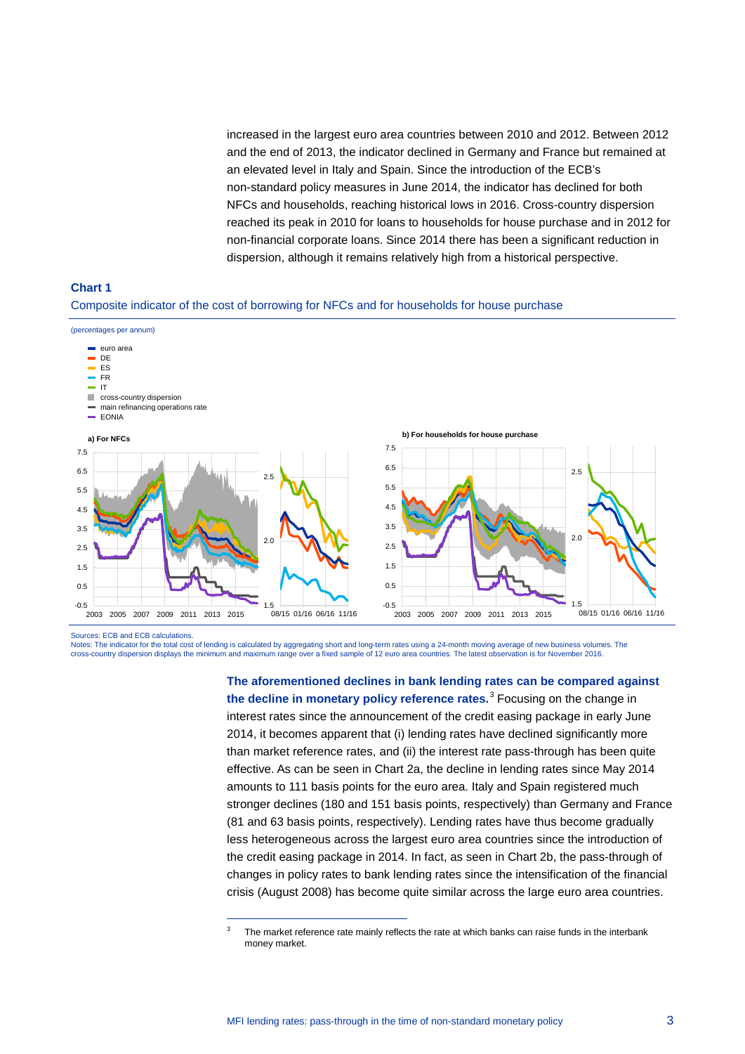increased in the largest euro area countries between 2010 and 2012. Between 2012 and the end of 2013, the indicator declined in Germany and France but remained at an elevated level in Italy and Spain. Since the introduction of the ECB's non-standard policy measures in June 2014, the indicator has declined for both NFCs and households, reaching historical lows in 2016. Cross-country dispersion reached its peak in 2010 for loans to households for house purchase and in 2012 for non-financial corporate loans. Since 2014 there has been a significant reduction in dispersion, although it remains relatively high from a historical perspective.



#### Composite indicator of the cost of borrowing for NFCs and for households for house purchase



Sources: ECB and ECB calculations.

-

Notes: The indicator for the total cost of lending is calculated by aggregating short and long-term rates using a 24-month moving average of new business volumes. The cross-country dispersion displays the minimum and maximum range over a fixed sample of 12 euro area countries. The latest observation is for November 2016.

> **The aforementioned declines in bank lending rates can be compared against the decline in monetary policy reference rates.**[3](#page-2-0) Focusing on the change in interest rates since the announcement of the credit easing package in early June 2014, it becomes apparent that (i) lending rates have declined significantly more than market reference rates, and (ii) the interest rate pass-through has been quite effective. As can be seen in Chart 2a, the decline in lending rates since May 2014 amounts to 111 basis points for the euro area. Italy and Spain registered much stronger declines (180 and 151 basis points, respectively) than Germany and France (81 and 63 basis points, respectively). Lending rates have thus become gradually less heterogeneous across the largest euro area countries since the introduction of the credit easing package in 2014. In fact, as seen in Chart 2b, the pass-through of changes in policy rates to bank lending rates since the intensification of the financial crisis (August 2008) has become quite similar across the large euro area countries.

<span id="page-2-0"></span> $3$  The market reference rate mainly reflects the rate at which banks can raise funds in the interbank money market.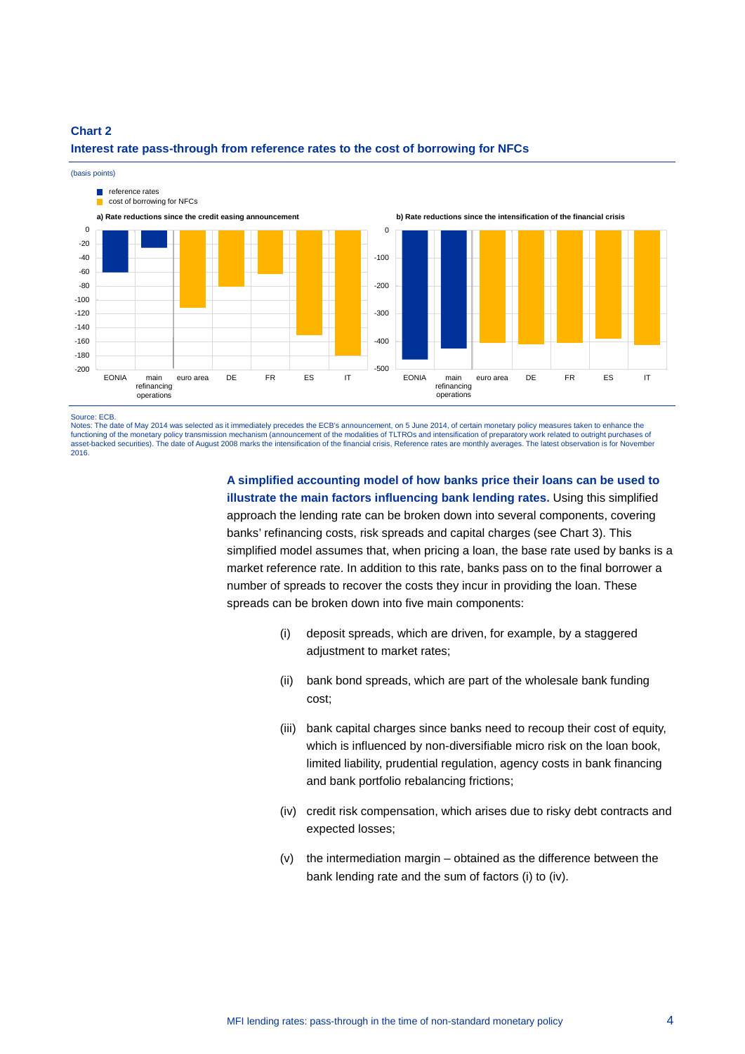

## **Chart 2 Interest rate pass-through from reference rates to the cost of borrowing for NFCs**

Source: ECB.

Notes: The date of May 2014 was selected as it immediately precedes the ECB's announcement, on 5 June 2014, of certain monetary policy measures taken to enhance the functioning of the monetary policy transmission mechanism (announcement of the modalities of TLTROs and intensification of preparatory work related to outright purchases of asset-backed securities). The date of August 2008 marks the intensification of the financial crisis, Reference rates are monthly averages. The latest observation is for November 2016.

> **A simplified accounting model of how banks price their loans can be used to illustrate the main factors influencing bank lending rates.** Using this simplified approach the lending rate can be broken down into several components, covering banks' refinancing costs, risk spreads and capital charges (see Chart 3). This simplified model assumes that, when pricing a loan, the base rate used by banks is a market reference rate. In addition to this rate, banks pass on to the final borrower a number of spreads to recover the costs they incur in providing the loan. These spreads can be broken down into five main components:

- (i) deposit spreads, which are driven, for example, by a staggered adjustment to market rates;
- (ii) bank bond spreads, which are part of the wholesale bank funding cost;
- (iii) bank capital charges since banks need to recoup their cost of equity, which is influenced by non-diversifiable micro risk on the loan book, limited liability, prudential regulation, agency costs in bank financing and bank portfolio rebalancing frictions;
- (iv) credit risk compensation, which arises due to risky debt contracts and expected losses;
- (v) the intermediation margin obtained as the difference between the bank lending rate and the sum of factors (i) to (iv).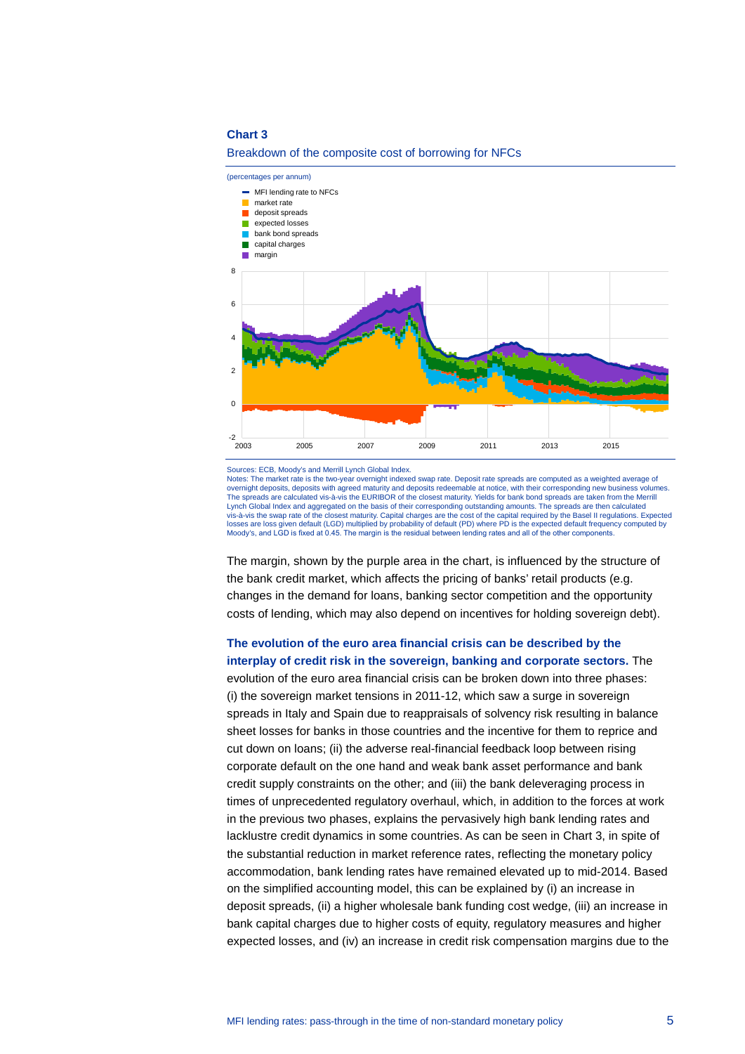

#### Breakdown of the composite cost of borrowing for NFCs

Notes: The market rate is the two-year overnight indexed swap rate. Deposit rate spreads are computed as a weighted average of overnight deposits, deposits with agreed maturity and deposits redeemable at notice, with their corresponding new business volumes. The spreads are calculated vis-à-vis the EURIBOR of the closest maturity. Yields for bank bond spreads are taken from the Merrill Lynch Global Index and aggregated on the basis of their corresponding outstanding amounts. The spreads are then calculated vis-à-vis the swap rate of the closest maturity. Capital charges are the cost of the capital required by the Basel II regulations. Expected<br>Iosses are loss given default (LGD) multiplied by probability of default (PD) wher Moody's, and LGD is fixed at 0.45. The margin is the residual between lending rates and all of the other components.

The margin, shown by the purple area in the chart, is influenced by the structure of the bank credit market, which affects the pricing of banks' retail products (e.g. changes in the demand for loans, banking sector competition and the opportunity costs of lending, which may also depend on incentives for holding sovereign debt).

## **The evolution of the euro area financial crisis can be described by the interplay of credit risk in the sovereign, banking and corporate sectors.** The

evolution of the euro area financial crisis can be broken down into three phases: (i) the sovereign market tensions in 2011-12, which saw a surge in sovereign spreads in Italy and Spain due to reappraisals of solvency risk resulting in balance sheet losses for banks in those countries and the incentive for them to reprice and cut down on loans; (ii) the adverse real-financial feedback loop between rising corporate default on the one hand and weak bank asset performance and bank credit supply constraints on the other; and (iii) the bank deleveraging process in times of unprecedented regulatory overhaul, which, in addition to the forces at work in the previous two phases, explains the pervasively high bank lending rates and lacklustre credit dynamics in some countries. As can be seen in Chart 3, in spite of the substantial reduction in market reference rates, reflecting the monetary policy accommodation, bank lending rates have remained elevated up to mid-2014. Based on the simplified accounting model, this can be explained by (i) an increase in deposit spreads, (ii) a higher wholesale bank funding cost wedge, (iii) an increase in bank capital charges due to higher costs of equity, regulatory measures and higher expected losses, and (iv) an increase in credit risk compensation margins due to the

Sources: ECB, Moody's and Merrill Lynch Global Index.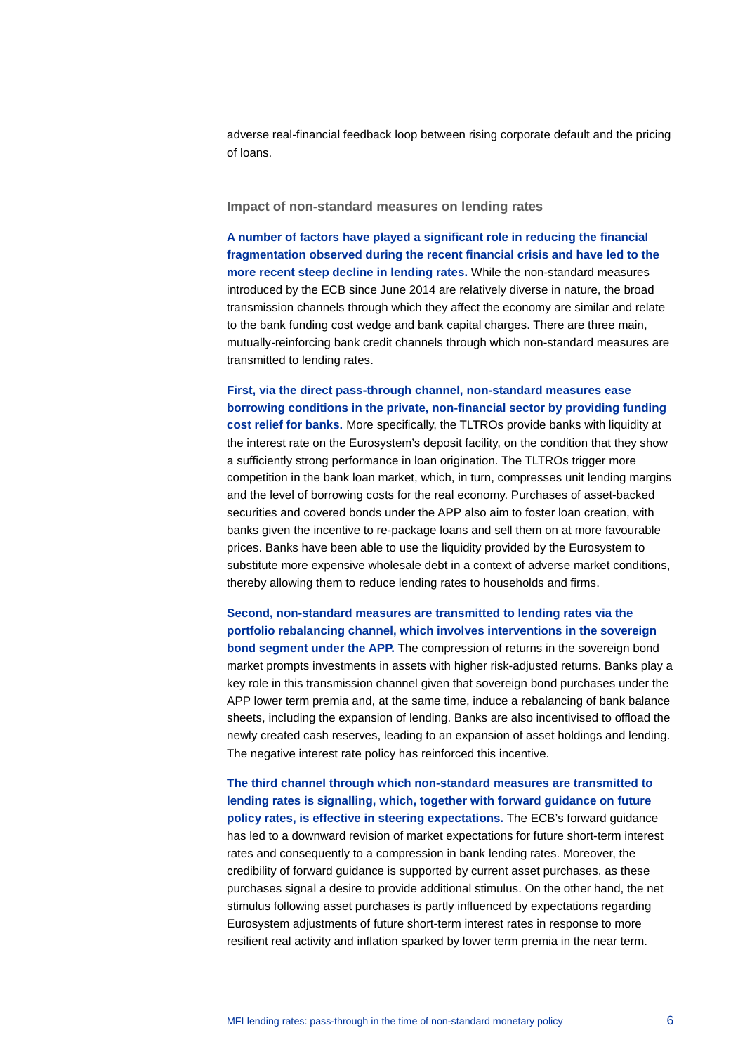adverse real-financial feedback loop between rising corporate default and the pricing of loans.

#### **Impact of non-standard measures on lending rates**

**A number of factors have played a significant role in reducing the financial fragmentation observed during the recent financial crisis and have led to the more recent steep decline in lending rates.** While the non-standard measures introduced by the ECB since June 2014 are relatively diverse in nature, the broad transmission channels through which they affect the economy are similar and relate to the bank funding cost wedge and bank capital charges. There are three main, mutually-reinforcing bank credit channels through which non-standard measures are transmitted to lending rates.

**First, via the direct pass-through channel, non-standard measures ease borrowing conditions in the private, non-financial sector by providing funding cost relief for banks.** More specifically, the TLTROs provide banks with liquidity at the interest rate on the Eurosystem's deposit facility, on the condition that they show a sufficiently strong performance in loan origination. The TLTROs trigger more competition in the bank loan market, which, in turn, compresses unit lending margins and the level of borrowing costs for the real economy. Purchases of asset-backed securities and covered bonds under the APP also aim to foster loan creation, with banks given the incentive to re-package loans and sell them on at more favourable prices. Banks have been able to use the liquidity provided by the Eurosystem to substitute more expensive wholesale debt in a context of adverse market conditions, thereby allowing them to reduce lending rates to households and firms.

**Second, non-standard measures are transmitted to lending rates via the portfolio rebalancing channel, which involves interventions in the sovereign bond segment under the APP.** The compression of returns in the sovereign bond market prompts investments in assets with higher risk-adjusted returns. Banks play a key role in this transmission channel given that sovereign bond purchases under the APP lower term premia and, at the same time, induce a rebalancing of bank balance sheets, including the expansion of lending. Banks are also incentivised to offload the newly created cash reserves, leading to an expansion of asset holdings and lending. The negative interest rate policy has reinforced this incentive.

**The third channel through which non-standard measures are transmitted to lending rates is signalling, which, together with forward guidance on future policy rates, is effective in steering expectations.** The ECB's forward guidance has led to a downward revision of market expectations for future short-term interest rates and consequently to a compression in bank lending rates. Moreover, the credibility of forward guidance is supported by current asset purchases, as these purchases signal a desire to provide additional stimulus. On the other hand, the net stimulus following asset purchases is partly influenced by expectations regarding Eurosystem adjustments of future short-term interest rates in response to more resilient real activity and inflation sparked by lower term premia in the near term.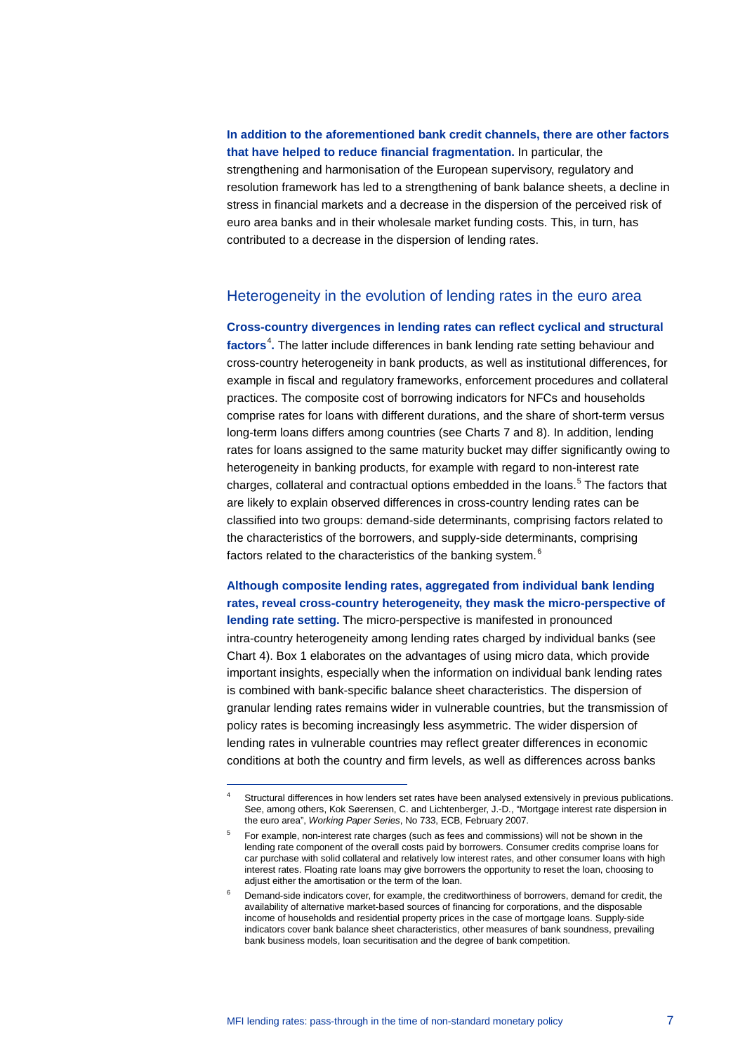**In addition to the aforementioned bank credit channels, there are other factors that have helped to reduce financial fragmentation.** In particular, the strengthening and harmonisation of the European supervisory, regulatory and resolution framework has led to a strengthening of bank balance sheets, a decline in stress in financial markets and a decrease in the dispersion of the perceived risk of euro area banks and in their wholesale market funding costs. This, in turn, has contributed to a decrease in the dispersion of lending rates.

## Heterogeneity in the evolution of lending rates in the euro area

**Cross-country divergences in lending rates can reflect cyclical and structural**  factors<sup>[4](#page-6-0)</sup>. The latter include differences in bank lending rate setting behaviour and cross-country heterogeneity in bank products, as well as institutional differences, for example in fiscal and regulatory frameworks, enforcement procedures and collateral practices. The composite cost of borrowing indicators for NFCs and households comprise rates for loans with different durations, and the share of short-term versus long-term loans differs among countries (see Charts 7 and 8). In addition, lending rates for loans assigned to the same maturity bucket may differ significantly owing to heterogeneity in banking products, for example with regard to non-interest rate charges, collateral and contractual options embedded in the loans. [5](#page-6-1) The factors that are likely to explain observed differences in cross-country lending rates can be classified into two groups: demand-side determinants, comprising factors related to the characteristics of the borrowers, and supply-side determinants, comprising factors related to the characteristics of the banking system.<sup>[6](#page-6-2)</sup>

**Although composite lending rates, aggregated from individual bank lending rates, reveal cross-country heterogeneity, they mask the micro-perspective of lending rate setting.** The micro-perspective is manifested in pronounced intra-country heterogeneity among lending rates charged by individual banks (see Chart 4). Box 1 elaborates on the advantages of using micro data, which provide important insights, especially when the information on individual bank lending rates is combined with bank-specific balance sheet characteristics. The dispersion of granular lending rates remains wider in vulnerable countries, but the transmission of policy rates is becoming increasingly less asymmetric. The wider dispersion of lending rates in vulnerable countries may reflect greater differences in economic conditions at both the country and firm levels, as well as differences across banks

<span id="page-6-0"></span>Structural differences in how lenders set rates have been analysed extensively in previous publications. See, among others, Kok Søerensen, C. and Lichtenberger, J.-D., "Mortgage interest rate dispersion in the euro area", *Working Paper Series*, No 733, ECB, February 2007.

<span id="page-6-1"></span><sup>5</sup> For example, non-interest rate charges (such as fees and commissions) will not be shown in the lending rate component of the overall costs paid by borrowers. Consumer credits comprise loans for car purchase with solid collateral and relatively low interest rates, and other consumer loans with high interest rates. Floating rate loans may give borrowers the opportunity to reset the loan, choosing to adjust either the amortisation or the term of the loan.

<span id="page-6-2"></span>Demand-side indicators cover, for example, the creditworthiness of borrowers, demand for credit, the availability of alternative market-based sources of financing for corporations, and the disposable income of households and residential property prices in the case of mortgage loans. Supply-side indicators cover bank balance sheet characteristics, other measures of bank soundness, prevailing bank business models, loan securitisation and the degree of bank competition.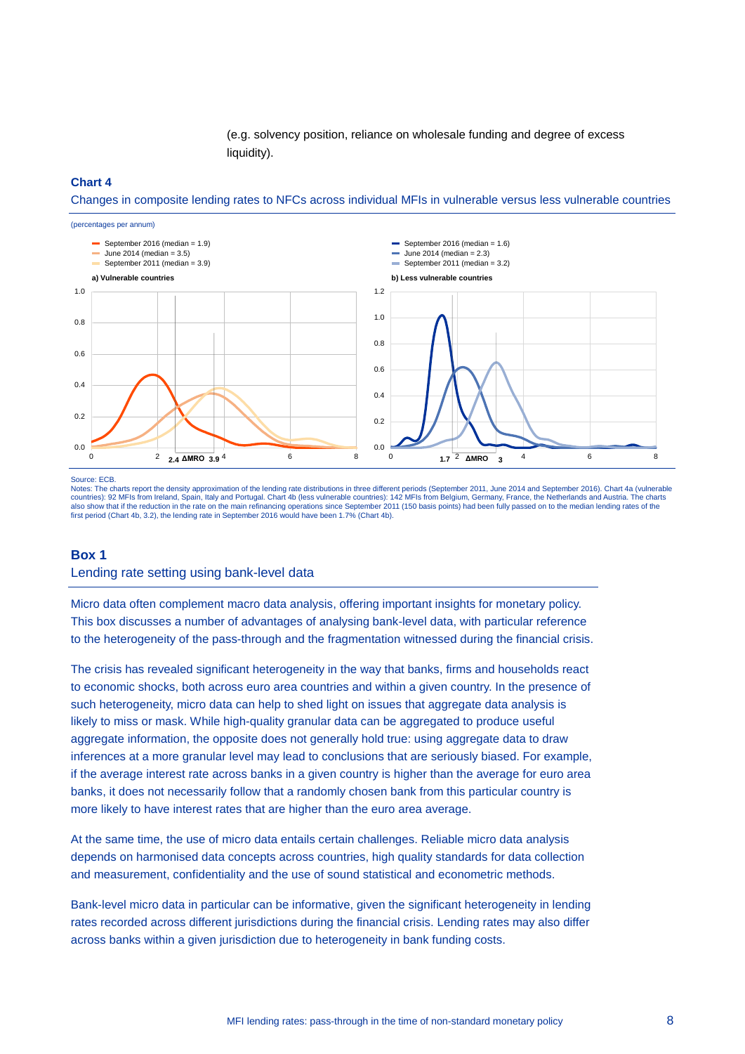(e.g. solvency position, reliance on wholesale funding and degree of excess liquidity).

#### **Chart 4**

Changes in composite lending rates to NFCs across individual MFIs in vulnerable versus less vulnerable countries



Source: ECB.

Notes: The charts report the density approximation of the lending rate distributions in three different periods (September 2011, June 2014 and September 2016). Chart 4a (vulnerable countries): 92 MFIs from Ireland, Spain, Italy and Portugal. Chart 4b (less vulnerable countries): 142 MFIs from Belgium, Germany, France, the Netherlands and Austria. The charts also show that if the reduction in the rate on the main refinancing operations since September 2011 (150 basis points) had been fully passed on to the median lending rates of the first period (Chart 4b, 3.2), the lending rate in September 2016 would have been 1.7% (Chart 4b).

#### **Box 1**

#### Lending rate setting using bank-level data

Micro data often complement macro data analysis, offering important insights for monetary policy. This box discusses a number of advantages of analysing bank-level data, with particular reference to the heterogeneity of the pass-through and the fragmentation witnessed during the financial crisis.

The crisis has revealed significant heterogeneity in the way that banks, firms and households react to economic shocks, both across euro area countries and within a given country. In the presence of such heterogeneity, micro data can help to shed light on issues that aggregate data analysis is likely to miss or mask. While high-quality granular data can be aggregated to produce useful aggregate information, the opposite does not generally hold true: using aggregate data to draw inferences at a more granular level may lead to conclusions that are seriously biased. For example, if the average interest rate across banks in a given country is higher than the average for euro area banks, it does not necessarily follow that a randomly chosen bank from this particular country is more likely to have interest rates that are higher than the euro area average.

At the same time, the use of micro data entails certain challenges. Reliable micro data analysis depends on harmonised data concepts across countries, high quality standards for data collection and measurement, confidentiality and the use of sound statistical and econometric methods.

Bank-level micro data in particular can be informative, given the significant heterogeneity in lending rates recorded across different jurisdictions during the financial crisis. Lending rates may also differ across banks within a given jurisdiction due to heterogeneity in bank funding costs.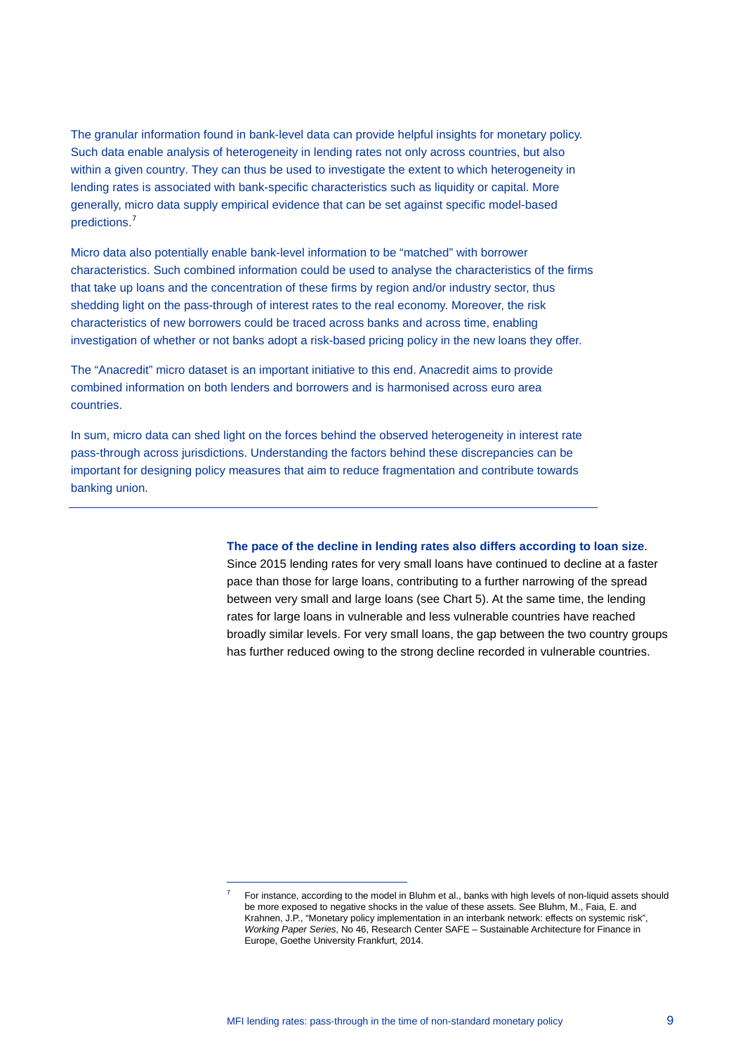The granular information found in bank-level data can provide helpful insights for monetary policy. Such data enable analysis of heterogeneity in lending rates not only across countries, but also within a given country. They can thus be used to investigate the extent to which heterogeneity in lending rates is associated with bank-specific characteristics such as liquidity or capital. More generally, micro data supply empirical evidence that can be set against specific model-based predictions. [7](#page-8-0)

Micro data also potentially enable bank-level information to be "matched" with borrower characteristics. Such combined information could be used to analyse the characteristics of the firms that take up loans and the concentration of these firms by region and/or industry sector, thus shedding light on the pass-through of interest rates to the real economy. Moreover, the risk characteristics of new borrowers could be traced across banks and across time, enabling investigation of whether or not banks adopt a risk-based pricing policy in the new loans they offer.

The "Anacredit" micro dataset is an important initiative to this end. Anacredit aims to provide combined information on both lenders and borrowers and is harmonised across euro area countries.

In sum, micro data can shed light on the forces behind the observed heterogeneity in interest rate pass-through across jurisdictions. Understanding the factors behind these discrepancies can be important for designing policy measures that aim to reduce fragmentation and contribute towards banking union.

<span id="page-8-0"></span>-

#### **The pace of the decline in lending rates also differs according to loan size**.

Since 2015 lending rates for very small loans have continued to decline at a faster pace than those for large loans, contributing to a further narrowing of the spread between very small and large loans (see Chart 5). At the same time, the lending rates for large loans in vulnerable and less vulnerable countries have reached broadly similar levels. For very small loans, the gap between the two country groups has further reduced owing to the strong decline recorded in vulnerable countries.

For instance, according to the model in Bluhm et al., banks with high levels of non-liquid assets should be more exposed to negative shocks in the value of these assets. See Bluhm, M., Faia, E. and Krahnen, J.P., "Monetary policy implementation in an interbank network: effects on systemic risk", *Working Paper Series*, No 46, Research Center SAFE – Sustainable Architecture for Finance in Europe, Goethe University Frankfurt, 2014.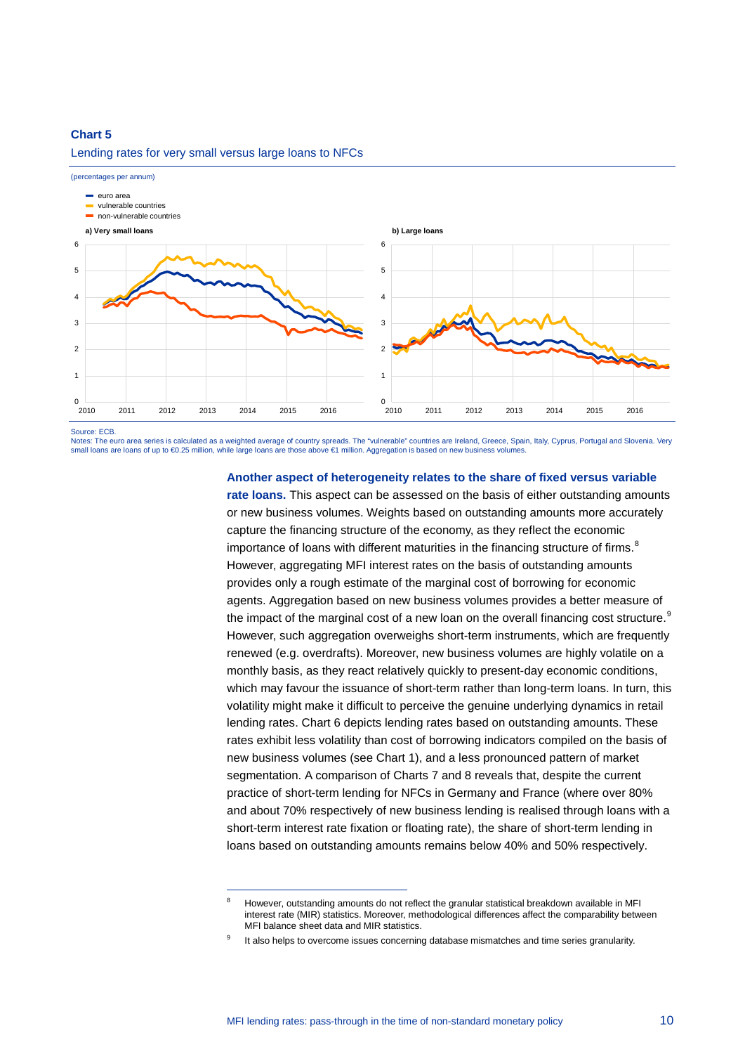Lending rates for very small versus large loans to NFCs

-



Source: ECB.

Notes: The euro area series is calculated as a weighted average of country spreads. The "vulnerable" countries are Ireland, Greece, Spain, Italy, Cyprus, Portugal and Slovenia. Very small loans are loans of up to €0.25 million, while large loans are those above €1 million. Aggregation is based on new business volumes

#### **Another aspect of heterogeneity relates to the share of fixed versus variable**

**rate loans.** This aspect can be assessed on the basis of either outstanding amounts or new business volumes. Weights based on outstanding amounts more accurately capture the financing structure of the economy, as they reflect the economic importance of loans with different maturities in the financing structure of firms.<sup>[8](#page-9-0)</sup> However, aggregating MFI interest rates on the basis of outstanding amounts provides only a rough estimate of the marginal cost of borrowing for economic agents. Aggregation based on new business volumes provides a better measure of the impact of the marginal cost of a new loan on the overall financing cost structure. $^{\text{\tiny {S}}}$ However, such aggregation overweighs short-term instruments, which are frequently renewed (e.g. overdrafts). Moreover, new business volumes are highly volatile on a monthly basis, as they react relatively quickly to present-day economic conditions, which may favour the issuance of short-term rather than long-term loans. In turn, this volatility might make it difficult to perceive the genuine underlying dynamics in retail lending rates. Chart 6 depicts lending rates based on outstanding amounts. These rates exhibit less volatility than cost of borrowing indicators compiled on the basis of new business volumes (see Chart 1), and a less pronounced pattern of market segmentation. A comparison of Charts 7 and 8 reveals that, despite the current practice of short-term lending for NFCs in Germany and France (where over 80% and about 70% respectively of new business lending is realised through loans with a short-term interest rate fixation or floating rate), the share of short-term lending in loans based on outstanding amounts remains below 40% and 50% respectively.

<span id="page-9-0"></span><sup>&</sup>lt;sup>8</sup> However, outstanding amounts do not reflect the granular statistical breakdown available in MFI interest rate (MIR) statistics. Moreover, methodological differences affect the comparability between MFI balance sheet data and MIR statistics.

<span id="page-9-1"></span>It also helps to overcome issues concerning database mismatches and time series granularity.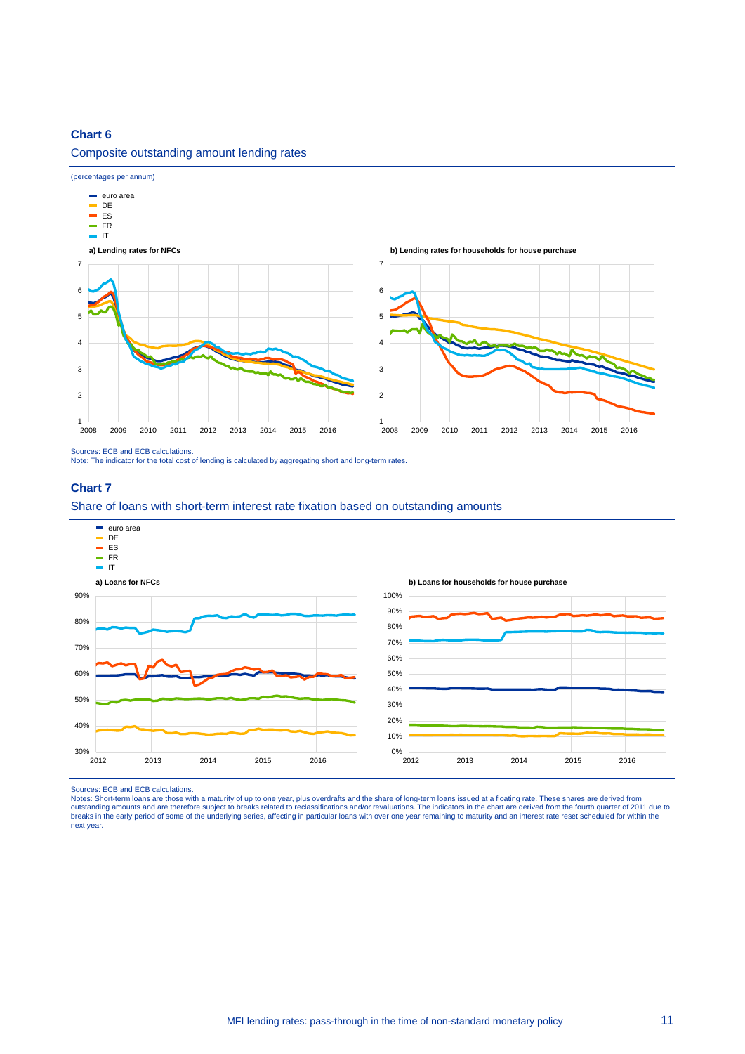#### Composite outstanding amount lending rates



Sources: ECB and ECB calculations.

Note: The indicator for the total cost of lending is calculated by aggregating short and long-term rates.

#### **Chart 7**

#### Share of loans with short-term interest rate fixation based on outstanding amounts



Sources: ECB and ECB calculations.<br>Notes: Short-term loans are those with a maturity of up to one year, plus overdrafts and the share of long-term loans issued at a floating rate. These shares are derived from outstanding amounts and are therefore subject to breaks related to reclassifications and/or revaluations. The indicators in the chart are derived from the fourth quarter of 2011 due to<br>breaks in the early period of some of next year.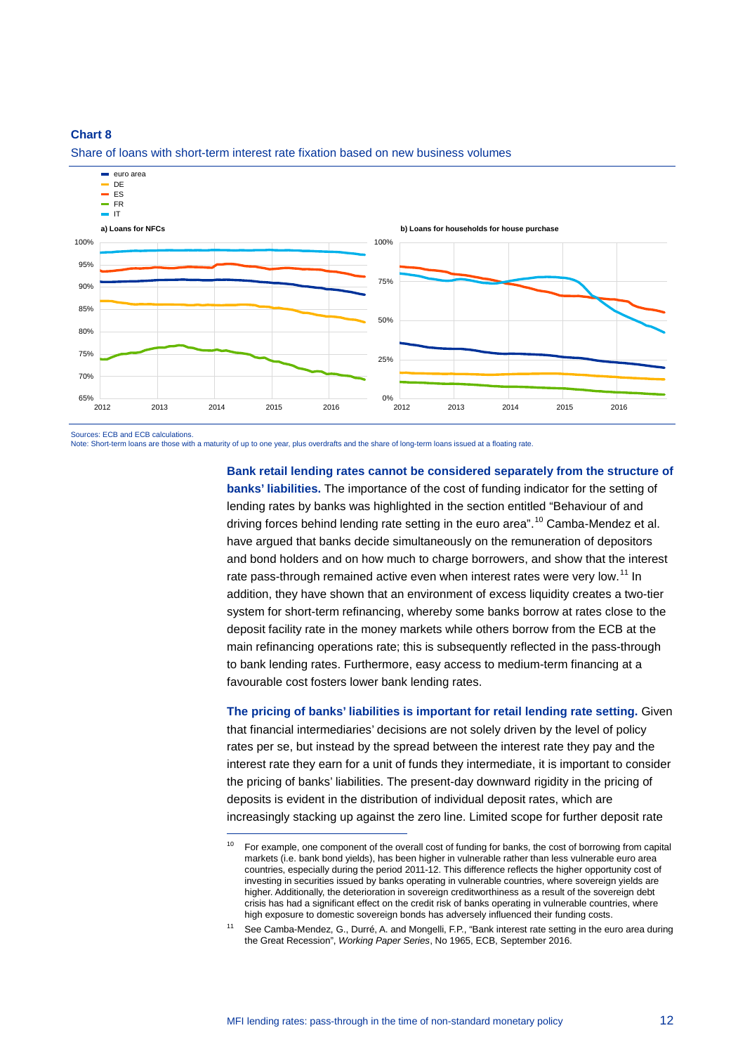

Share of loans with short-term interest rate fixation based on new business volumes

Sources: ECB and ECB calculations.

Note: Short-term loans are those with a maturity of up to one year, plus overdrafts and the share of long-term loans issued at a floating rate.

-

**Bank retail lending rates cannot be considered separately from the structure of banks' liabilities.** The importance of the cost of funding indicator for the setting of lending rates by banks was highlighted in the section entitled "Behaviour of and driving forces behind lending rate setting in the euro area".<sup>[10](#page-11-0)</sup> Camba-Mendez et al. have argued that banks decide simultaneously on the remuneration of depositors and bond holders and on how much to charge borrowers, and show that the interest rate pass-through remained active even when interest rates were very low.<sup>[11](#page-11-1)</sup> In addition, they have shown that an environment of excess liquidity creates a two-tier system for short-term refinancing, whereby some banks borrow at rates close to the deposit facility rate in the money markets while others borrow from the ECB at the main refinancing operations rate; this is subsequently reflected in the pass-through to bank lending rates. Furthermore, easy access to medium-term financing at a favourable cost fosters lower bank lending rates.

**The pricing of banks' liabilities is important for retail lending rate setting.** Given that financial intermediaries' decisions are not solely driven by the level of policy rates per se, but instead by the spread between the interest rate they pay and the interest rate they earn for a unit of funds they intermediate, it is important to consider the pricing of banks' liabilities. The present-day downward rigidity in the pricing of deposits is evident in the distribution of individual deposit rates, which are increasingly stacking up against the zero line. Limited scope for further deposit rate

<span id="page-11-0"></span><sup>&</sup>lt;sup>10</sup> For example, one component of the overall cost of funding for banks, the cost of borrowing from capital markets (i.e. bank bond yields), has been higher in vulnerable rather than less vulnerable euro area countries, especially during the period 2011-12. This difference reflects the higher opportunity cost of investing in securities issued by banks operating in vulnerable countries, where sovereign yields are higher. Additionally, the deterioration in sovereign creditworthiness as a result of the sovereign debt crisis has had a significant effect on the credit risk of banks operating in vulnerable countries, where high exposure to domestic sovereign bonds has adversely influenced their funding costs.

<span id="page-11-1"></span>See Camba-Mendez, G., Durré, A. and Mongelli, F.P., "Bank interest rate setting in the euro area during the Great Recession", *Working Paper Series*, No 1965, ECB, September 2016.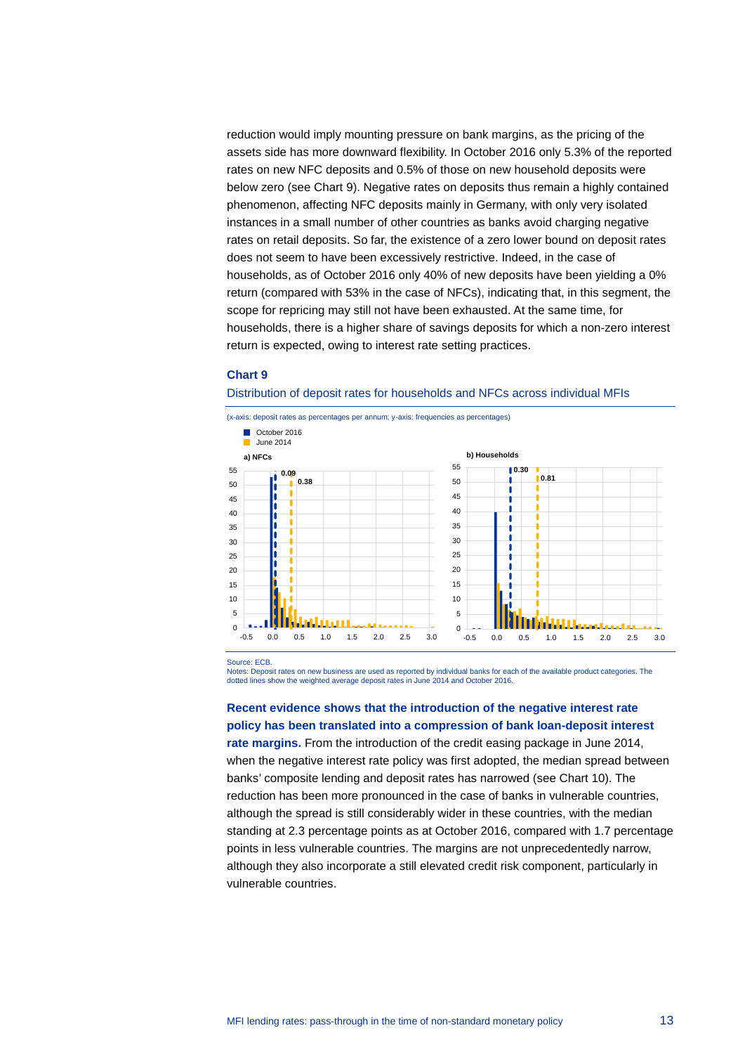reduction would imply mounting pressure on bank margins, as the pricing of the assets side has more downward flexibility. In October 2016 only 5.3% of the reported rates on new NFC deposits and 0.5% of those on new household deposits were below zero (see Chart 9). Negative rates on deposits thus remain a highly contained phenomenon, affecting NFC deposits mainly in Germany, with only very isolated instances in a small number of other countries as banks avoid charging negative rates on retail deposits. So far, the existence of a zero lower bound on deposit rates does not seem to have been excessively restrictive. Indeed, in the case of households, as of October 2016 only 40% of new deposits have been yielding a 0% return (compared with 53% in the case of NFCs), indicating that, in this segment, the scope for repricing may still not have been exhausted. At the same time, for households, there is a higher share of savings deposits for which a non-zero interest return is expected, owing to interest rate setting practices.

#### **Chart 9**

Distribution of deposit rates for households and NFCs across individual MFIs



Source: ECB.

Notes: Deposit rates on new business are used as reported by individual banks for each of the available product categories. The dotted lines show the weighted average deposit rates in June 2014 and October 2016.

**Recent evidence shows that the introduction of the negative interest rate policy has been translated into a compression of bank loan-deposit interest** 

**rate margins.** From the introduction of the credit easing package in June 2014, when the negative interest rate policy was first adopted, the median spread between banks' composite lending and deposit rates has narrowed (see Chart 10). The reduction has been more pronounced in the case of banks in vulnerable countries, although the spread is still considerably wider in these countries, with the median standing at 2.3 percentage points as at October 2016, compared with 1.7 percentage points in less vulnerable countries. The margins are not unprecedentedly narrow, although they also incorporate a still elevated credit risk component, particularly in vulnerable countries.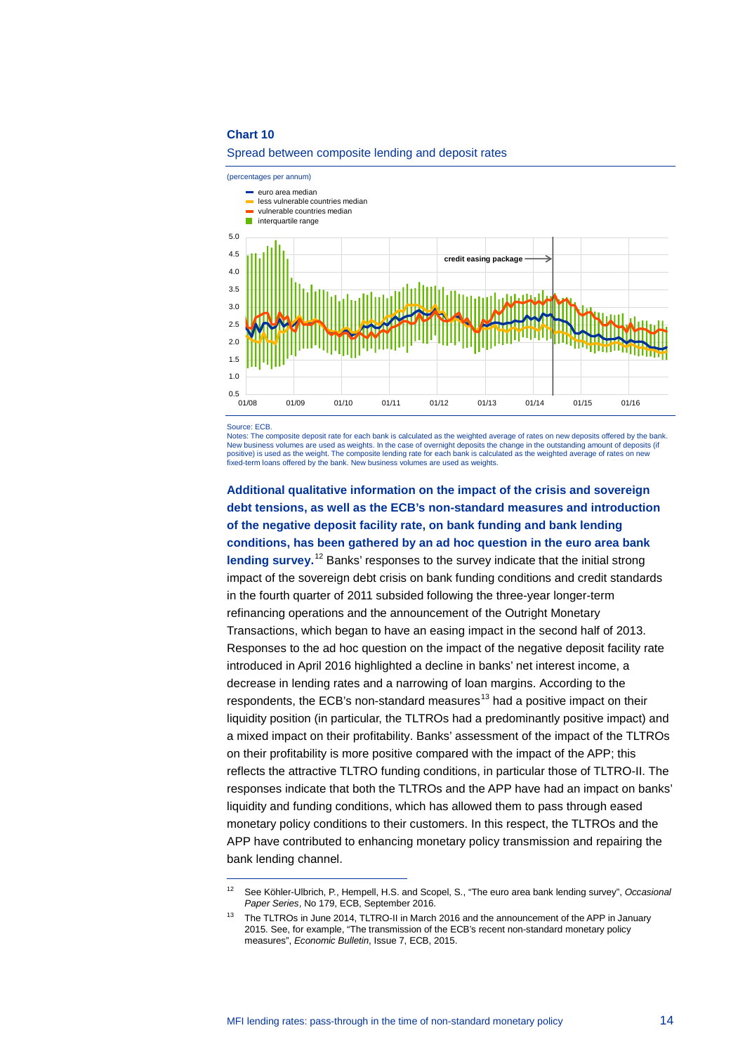

#### Spread between composite lending and deposit rates

Source: ECB.

-

Notes: The composite deposit rate for each bank is calculated as the weighted average of rates on new deposits offered by the bank. New business volumes are used as weights. In the case of overnight deposits the change in the outstanding amount of deposits (if positive) is used as the weight. The composite lending rate for each bank is calculated as the weighted average of rates on new fixed-term loans offered by the bank. New business volumes are used as weights.

**Additional qualitative information on the impact of the crisis and sovereign debt tensions, as well as the ECB's non-standard measures and introduction of the negative deposit facility rate, on bank funding and bank lending conditions, has been gathered by an ad hoc question in the euro area bank**  lending survey.<sup>[12](#page-13-0)</sup> Banks' responses to the survey indicate that the initial strong impact of the sovereign debt crisis on bank funding conditions and credit standards in the fourth quarter of 2011 subsided following the three-year longer-term refinancing operations and the announcement of the Outright Monetary Transactions, which began to have an easing impact in the second half of 2013. Responses to the ad hoc question on the impact of the negative deposit facility rate introduced in April 2016 highlighted a decline in banks' net interest income, a decrease in lending rates and a narrowing of loan margins. According to the respondents, the ECB's non-standard measures<sup>[13](#page-13-1)</sup> had a positive impact on their liquidity position (in particular, the TLTROs had a predominantly positive impact) and a mixed impact on their profitability. Banks' assessment of the impact of the TLTROs on their profitability is more positive compared with the impact of the APP; this reflects the attractive TLTRO funding conditions, in particular those of TLTRO-II. The responses indicate that both the TLTROs and the APP have had an impact on banks' liquidity and funding conditions, which has allowed them to pass through eased monetary policy conditions to their customers. In this respect, the TLTROs and the APP have contributed to enhancing monetary policy transmission and repairing the bank lending channel.

<span id="page-13-0"></span><sup>12</sup> See Köhler-Ulbrich, P., Hempell, H.S. and Scopel, S., "The euro area bank lending survey", *Occasional Paper Series*, No 179, ECB, September 2016.

<span id="page-13-1"></span><sup>&</sup>lt;sup>13</sup> The TLTROs in June 2014, TLTRO-II in March 2016 and the announcement of the APP in January 2015. See, for example, "The transmission of the ECB's recent non-standard monetary policy measures", *Economic Bulletin*, Issue 7, ECB, 2015.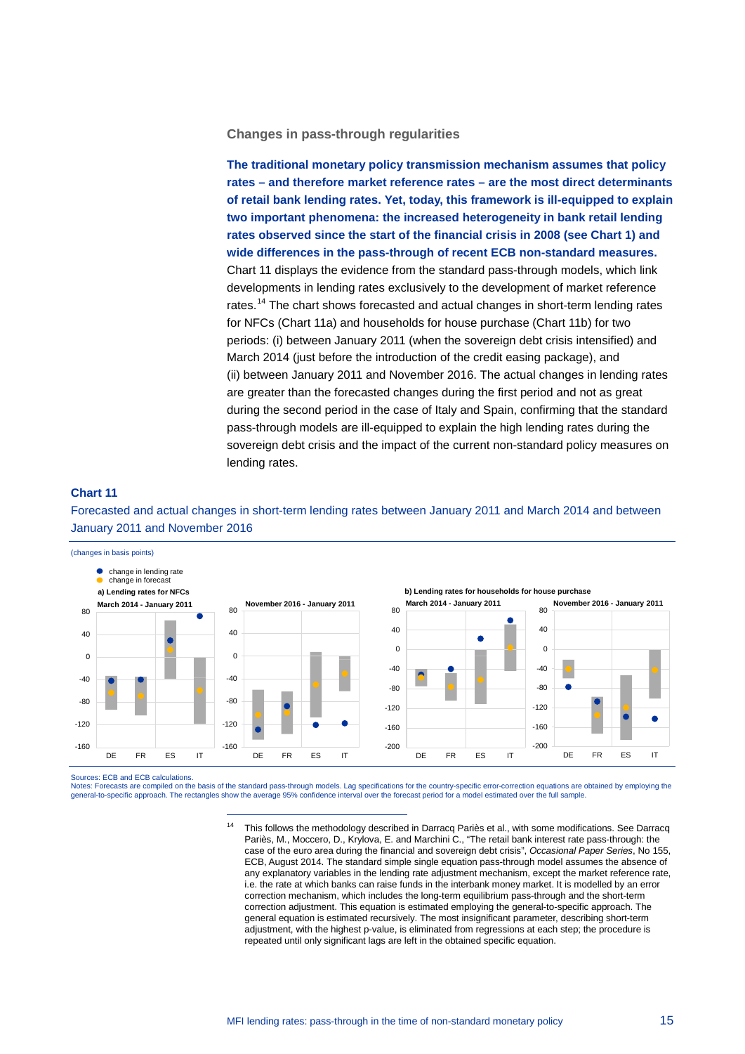**Changes in pass-through regularities**

**The traditional monetary policy transmission mechanism assumes that policy rates – and therefore market reference rates – are the most direct determinants of retail bank lending rates. Yet, today, this framework is ill-equipped to explain two important phenomena: the increased heterogeneity in bank retail lending rates observed since the start of the financial crisis in 2008 (see Chart 1) and wide differences in the pass-through of recent ECB non-standard measures.**  Chart 11 displays the evidence from the standard pass-through models, which link developments in lending rates exclusively to the development of market reference rates.<sup>[14](#page-14-0)</sup> The chart shows forecasted and actual changes in short-term lending rates for NFCs (Chart 11a) and households for house purchase (Chart 11b) for two periods: (i) between January 2011 (when the sovereign debt crisis intensified) and March 2014 (just before the introduction of the credit easing package), and (ii) between January 2011 and November 2016. The actual changes in lending rates are greater than the forecasted changes during the first period and not as great during the second period in the case of Italy and Spain, confirming that the standard pass-through models are ill-equipped to explain the high lending rates during the sovereign debt crisis and the impact of the current non-standard policy measures on lending rates.

#### **Chart 11**

Forecasted and actual changes in short-term lending rates between January 2011 and March 2014 and between January 2011 and November 2016



Sources: ECB and ECB calculations.

-

<span id="page-14-0"></span>Notes: Forecasts are compiled on the basis of the standard pass-through models. Lag specifications for the country-specific error-correction equations are obtained by employing the general-to-specific approach. The rectangles show the average 95% confidence interval over the forecast period for a model estimated over the full sample.

<sup>&</sup>lt;sup>14</sup> This follows the methodology described in Darracq Pariès et al., with some modifications. See Darracq Pariès, M., Moccero, D., Krylova, E. and Marchini C., "The retail bank interest rate pass-through: the case of the euro area during the financial and sovereign debt crisis", *Occasional Paper Series*, No 155, ECB, August 2014. The standard simple single equation pass-through model assumes the absence of any explanatory variables in the lending rate adjustment mechanism, except the market reference rate, i.e. the rate at which banks can raise funds in the interbank money market. It is modelled by an error correction mechanism, which includes the long-term equilibrium pass-through and the short-term correction adjustment. This equation is estimated employing the general-to-specific approach. The general equation is estimated recursively. The most insignificant parameter, describing short-term adjustment, with the highest p-value, is eliminated from regressions at each step; the procedure is repeated until only significant lags are left in the obtained specific equation.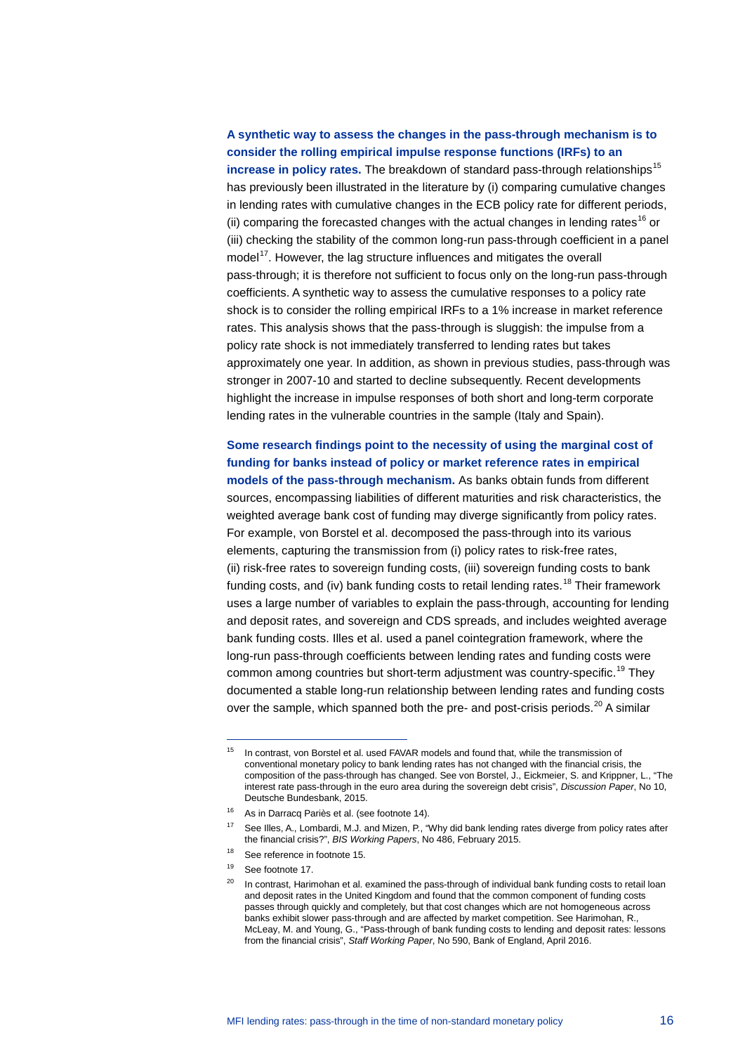## **A synthetic way to assess the changes in the pass-through mechanism is to consider the rolling empirical impulse response functions (IRFs) to an**

increase in policy rates. The breakdown of standard pass-through relationships<sup>[15](#page-15-0)</sup> has previously been illustrated in the literature by (i) comparing cumulative changes in lending rates with cumulative changes in the ECB policy rate for different periods, (ii) comparing the forecasted changes with the actual changes in lending rates<sup>[16](#page-15-1)</sup> or (iii) checking the stability of the common long-run pass-through coefficient in a panel model<sup>17</sup>. However, the lag structure influences and mitigates the overall pass-through; it is therefore not sufficient to focus only on the long-run pass-through coefficients. A synthetic way to assess the cumulative responses to a policy rate shock is to consider the rolling empirical IRFs to a 1% increase in market reference rates. This analysis shows that the pass-through is sluggish: the impulse from a policy rate shock is not immediately transferred to lending rates but takes approximately one year. In addition, as shown in previous studies, pass-through was stronger in 2007-10 and started to decline subsequently. Recent developments highlight the increase in impulse responses of both short and long-term corporate lending rates in the vulnerable countries in the sample (Italy and Spain).

**Some research findings point to the necessity of using the marginal cost of funding for banks instead of policy or market reference rates in empirical models of the pass-through mechanism.** As banks obtain funds from different sources, encompassing liabilities of different maturities and risk characteristics, the weighted average bank cost of funding may diverge significantly from policy rates. For example, von Borstel et al. decomposed the pass-through into its various elements, capturing the transmission from (i) policy rates to risk-free rates, (ii) risk-free rates to sovereign funding costs, (iii) sovereign funding costs to bank funding costs, and (iv) bank funding costs to retail lending rates.<sup>[18](#page-15-3)</sup> Their framework uses a large number of variables to explain the pass-through, accounting for lending and deposit rates, and sovereign and CDS spreads, and includes weighted average bank funding costs. Illes et al. used a panel cointegration framework, where the long-run pass-through coefficients between lending rates and funding costs were common among countries but short-term adjustment was country-specific.<sup>[19](#page-15-4)</sup> They documented a stable long-run relationship between lending rates and funding costs over the sample, which spanned both the pre- and post-crisis periods.<sup>[20](#page-15-5)</sup> A similar

<span id="page-15-0"></span> $15$  In contrast, von Borstel et al. used FAVAR models and found that, while the transmission of conventional monetary policy to bank lending rates has not changed with the financial crisis, the composition of the pass-through has changed. See von Borstel, J., Eickmeier, S. and Krippner, L., "The interest rate pass-through in the euro area during the sovereign debt crisis", *Discussion Paper*, No 10, Deutsche Bundesbank, 2015.

<span id="page-15-1"></span><sup>&</sup>lt;sup>16</sup> As in Darracq Pariès et al. (see footnote 14).

<span id="page-15-2"></span><sup>&</sup>lt;sup>17</sup> See Illes, A., Lombardi, M.J. and Mizen, P., "Why did bank lending rates diverge from policy rates after the financial crisis?", *BIS Working Papers*, No 486, February 2015.

<sup>18</sup> See reference in footnote 15.

<span id="page-15-4"></span><span id="page-15-3"></span><sup>19</sup> See footnote 17.

<span id="page-15-5"></span><sup>&</sup>lt;sup>20</sup> In contrast, Harimohan et al. examined the pass-through of individual bank funding costs to retail loan and deposit rates in the United Kingdom and found that the common component of funding costs passes through quickly and completely, but that cost changes which are not homogeneous across banks exhibit slower pass-through and are affected by market competition. See Harimohan, R., McLeay, M. and Young, G., "Pass-through of bank funding costs to lending and deposit rates: lessons from the financial crisis", *Staff Working Paper*, No 590, Bank of England, April 2016.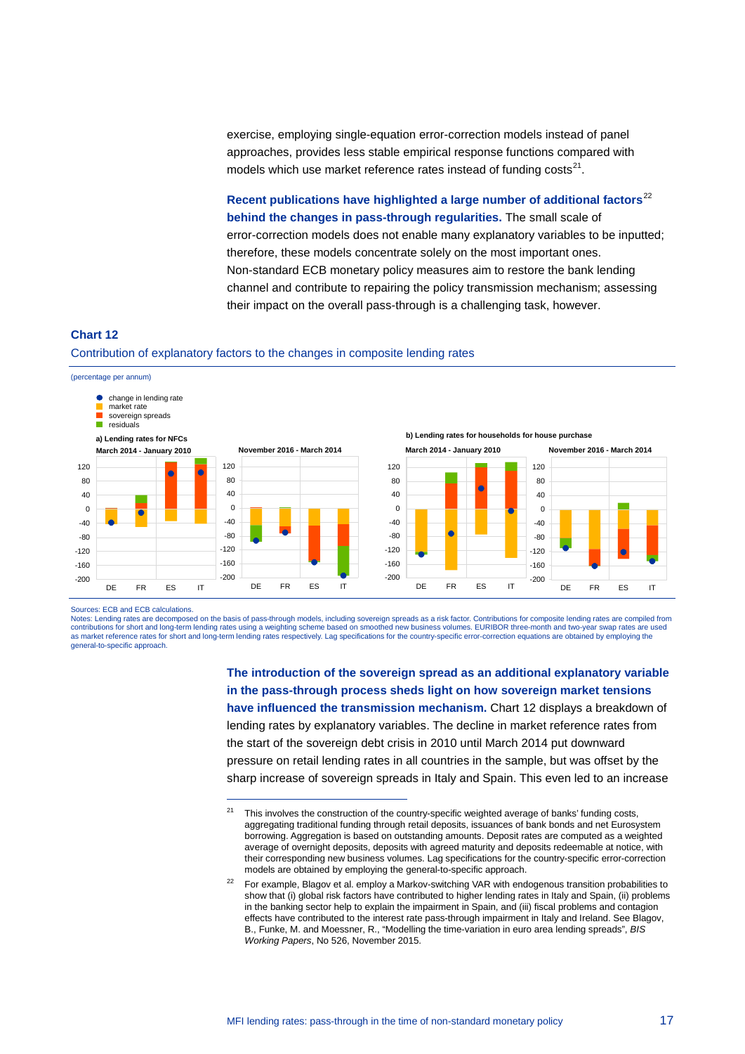exercise, employing single-equation error-correction models instead of panel approaches, provides less stable empirical response functions compared with models which use market reference rates instead of funding  $costs<sup>21</sup>$ .

**Recent publications have highlighted a large number of additional factors**[22](#page-16-1) **behind the changes in pass-through regularities.** The small scale of error-correction models does not enable many explanatory variables to be inputted; therefore, these models concentrate solely on the most important ones. Non-standard ECB monetary policy measures aim to restore the bank lending channel and contribute to repairing the policy transmission mechanism; assessing their impact on the overall pass-through is a challenging task, however.

#### **Chart 12**

#### Contribution of explanatory factors to the changes in composite lending rates

-



Sources: ECB and ECB calculations.

<span id="page-16-0"></span>Notes: Lending rates are decomposed on the basis of pass-through models, including sovereign spreads as a risk factor. Contributions for composite lending rates are compiled from contributions for short and long-term lending rates using a weighting scheme based on smoothed new business volumes. EURIBOR three-month and two-year swap rates are used<br>as market reference rates for short and long-term le general-to-specific approach.

> **The introduction of the sovereign spread as an additional explanatory variable in the pass-through process sheds light on how sovereign market tensions have influenced the transmission mechanism.** Chart 12 displays a breakdown of lending rates by explanatory variables. The decline in market reference rates from the start of the sovereign debt crisis in 2010 until March 2014 put downward pressure on retail lending rates in all countries in the sample, but was offset by the sharp increase of sovereign spreads in Italy and Spain. This even led to an increase

 $21$  This involves the construction of the country-specific weighted average of banks' funding costs, aggregating traditional funding through retail deposits, issuances of bank bonds and net Eurosystem borrowing. Aggregation is based on outstanding amounts. Deposit rates are computed as a weighted average of overnight deposits, deposits with agreed maturity and deposits redeemable at notice, with their corresponding new business volumes. Lag specifications for the country-specific error-correction models are obtained by employing the general-to-specific approach.

<span id="page-16-1"></span><sup>22</sup> For example, Blagov et al. employ a Markov-switching VAR with endogenous transition probabilities to show that (i) global risk factors have contributed to higher lending rates in Italy and Spain, (ii) problems in the banking sector help to explain the impairment in Spain, and (iii) fiscal problems and contagion effects have contributed to the interest rate pass-through impairment in Italy and Ireland. See Blagov, B., Funke, M. and Moessner, R., "Modelling the time-variation in euro area lending spreads", *BIS Working Papers*, No 526, November 2015.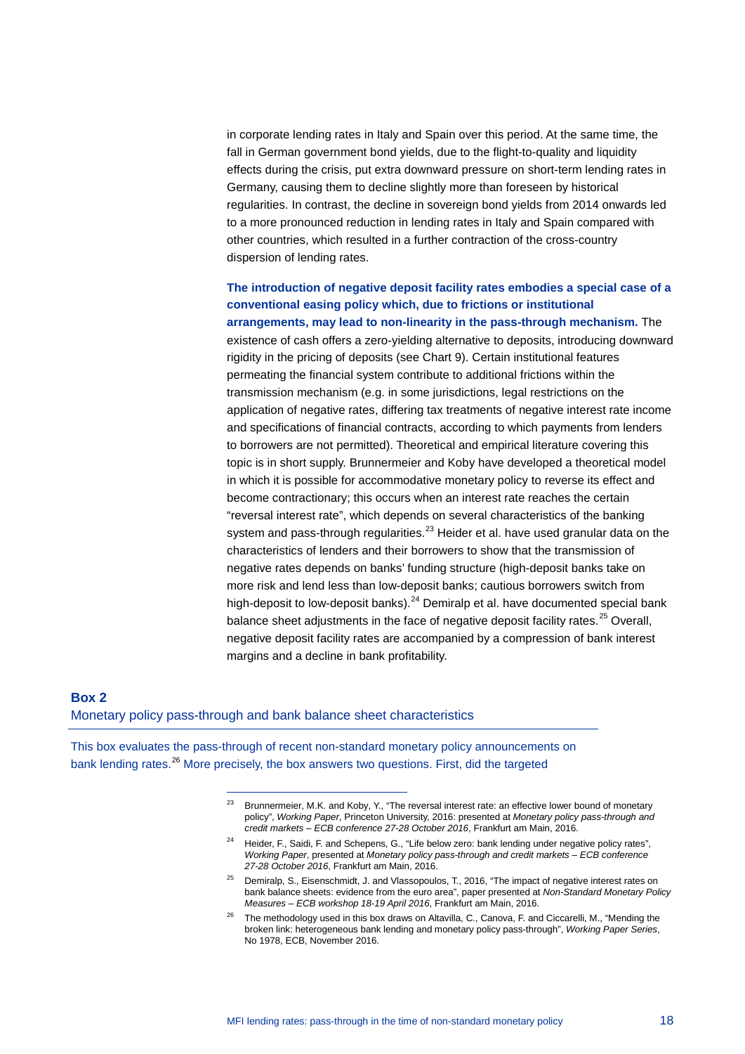in corporate lending rates in Italy and Spain over this period. At the same time, the fall in German government bond yields, due to the flight-to-quality and liquidity effects during the crisis, put extra downward pressure on short-term lending rates in Germany, causing them to decline slightly more than foreseen by historical regularities. In contrast, the decline in sovereign bond yields from 2014 onwards led to a more pronounced reduction in lending rates in Italy and Spain compared with other countries, which resulted in a further contraction of the cross-country dispersion of lending rates.

**The introduction of negative deposit facility rates embodies a special case of a conventional easing policy which, due to frictions or institutional arrangements, may lead to non-linearity in the pass-through mechanism.** The existence of cash offers a zero-yielding alternative to deposits, introducing downward rigidity in the pricing of deposits (see Chart 9). Certain institutional features permeating the financial system contribute to additional frictions within the transmission mechanism (e.g. in some jurisdictions, legal restrictions on the application of negative rates, differing tax treatments of negative interest rate income and specifications of financial contracts, according to which payments from lenders to borrowers are not permitted). Theoretical and empirical literature covering this topic is in short supply. Brunnermeier and Koby have developed a theoretical model in which it is possible for accommodative monetary policy to reverse its effect and become contractionary; this occurs when an interest rate reaches the certain "reversal interest rate", which depends on several characteristics of the banking system and pass-through regularities.<sup>[23](#page-17-0)</sup> Heider et al. have used granular data on the characteristics of lenders and their borrowers to show that the transmission of negative rates depends on banks' funding structure (high-deposit banks take on more risk and lend less than low-deposit banks; cautious borrowers switch from high-deposit to low-deposit banks).<sup>[24](#page-17-1)</sup> Demiralp et al. have documented special bank balance sheet adjustments in the face of negative deposit facility rates.<sup>[25](#page-17-2)</sup> Overall, negative deposit facility rates are accompanied by a compression of bank interest margins and a decline in bank profitability.

## **Box 2** Monetary policy pass-through and bank balance sheet characteristics

-

<span id="page-17-3"></span><span id="page-17-2"></span><span id="page-17-1"></span><span id="page-17-0"></span>This box evaluates the pass-through of recent non-standard monetary policy announcements on bank lending rates.<sup>[26](#page-17-3)</sup> More precisely, the box answers two questions. First, did the targeted

 $23$  Brunnermeier, M.K. and Koby, Y., "The reversal interest rate: an effective lower bound of monetary policy", *Working Paper*, Princeton University, 2016: presented at *Monetary policy pass-through and credit markets – ECB conference 27-28 October 2016*, Frankfurt am Main, 2016.

<sup>&</sup>lt;sup>24</sup> Heider, F., Saidi, F. and Schepens, G., "Life below zero: bank lending under negative policy rates", *Working Paper*, presented at *Monetary policy pass-through and credit markets – ECB conference 27-28 October 2016*, Frankfurt am Main, 2016.

<sup>&</sup>lt;sup>25</sup> Demiralp, S., Eisenschmidt, J. and Vlassopoulos, T., 2016, "The impact of negative interest rates on bank balance sheets: evidence from the euro area", paper presented at *Non-Standard Monetary Policy Measures – ECB workshop 18-19 April 2016*, Frankfurt am Main, 2016.

<sup>&</sup>lt;sup>26</sup> The methodology used in this box draws on Altavilla, C., Canova, F. and Ciccarelli, M., "Mending the broken link: heterogeneous bank lending and monetary policy pass-through", *Working Paper Series*, No 1978, ECB, November 2016.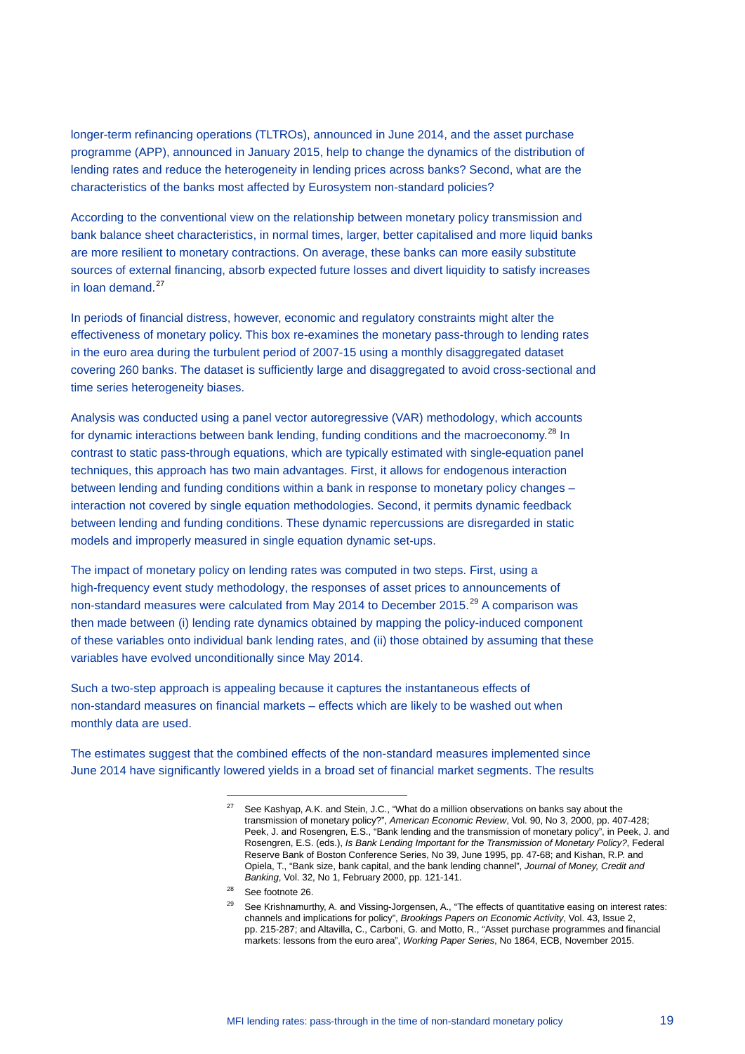longer-term refinancing operations (TLTROs), announced in June 2014, and the asset purchase programme (APP), announced in January 2015, help to change the dynamics of the distribution of lending rates and reduce the heterogeneity in lending prices across banks? Second, what are the characteristics of the banks most affected by Eurosystem non-standard policies?

According to the conventional view on the relationship between monetary policy transmission and bank balance sheet characteristics, in normal times, larger, better capitalised and more liquid banks are more resilient to monetary contractions. On average, these banks can more easily substitute sources of external financing, absorb expected future losses and divert liquidity to satisfy increases in loan demand.<sup>[27](#page-18-0)</sup>

In periods of financial distress, however, economic and regulatory constraints might alter the effectiveness of monetary policy. This box re-examines the monetary pass-through to lending rates in the euro area during the turbulent period of 2007-15 using a monthly disaggregated dataset covering 260 banks. The dataset is sufficiently large and disaggregated to avoid cross-sectional and time series heterogeneity biases.

Analysis was conducted using a panel vector autoregressive (VAR) methodology, which accounts for dynamic interactions between bank lending, funding conditions and the macroeconomy.<sup>[28](#page-18-1)</sup> In contrast to static pass-through equations, which are typically estimated with single-equation panel techniques, this approach has two main advantages. First, it allows for endogenous interaction between lending and funding conditions within a bank in response to monetary policy changes – interaction not covered by single equation methodologies. Second, it permits dynamic feedback between lending and funding conditions. These dynamic repercussions are disregarded in static models and improperly measured in single equation dynamic set-ups.

The impact of monetary policy on lending rates was computed in two steps. First, using a high-frequency event study methodology, the responses of asset prices to announcements of non-standard measures were calculated from May 2014 to December 2015.<sup>[29](#page-18-2)</sup> A comparison was then made between (i) lending rate dynamics obtained by mapping the policy-induced component of these variables onto individual bank lending rates, and (ii) those obtained by assuming that these variables have evolved unconditionally since May 2014.

Such a two-step approach is appealing because it captures the instantaneous effects of non-standard measures on financial markets – effects which are likely to be washed out when monthly data are used.

<span id="page-18-2"></span><span id="page-18-1"></span><span id="page-18-0"></span>The estimates suggest that the combined effects of the non-standard measures implemented since June 2014 have significantly lowered yields in a broad set of financial market segments. The results

 $27$  See Kashyap, A.K. and Stein, J.C., "What do a million observations on banks say about the transmission of monetary policy?", *American Economic Review*, Vol. 90, No 3, 2000, pp. 407-428; Peek, J. and Rosengren, E.S., "Bank lending and the transmission of monetary policy", in Peek, J. and Rosengren, E.S. (eds.), *Is Bank Lending Important for the Transmission of Monetary Policy?*, Federal Reserve Bank of Boston Conference Series, No 39, June 1995, pp. 47-68; and Kishan, R.P. and Opiela, T., "Bank size, bank capital, and the bank lending channel", *Journal of Money, Credit and Banking*, Vol. 32, No 1, February 2000, pp. 121-141.

<sup>28</sup> See footnote 26.

<sup>&</sup>lt;sup>29</sup> See Krishnamurthy, A. and Vissing-Jorgensen, A., "The effects of quantitative easing on interest rates: channels and implications for policy", *Brookings Papers on Economic Activity*, Vol. 43, Issue 2, pp. 215-287; and Altavilla, C., Carboni, G. and Motto, R., "Asset purchase programmes and financial markets: lessons from the euro area", *Working Paper Series*, No 1864, ECB, November 2015.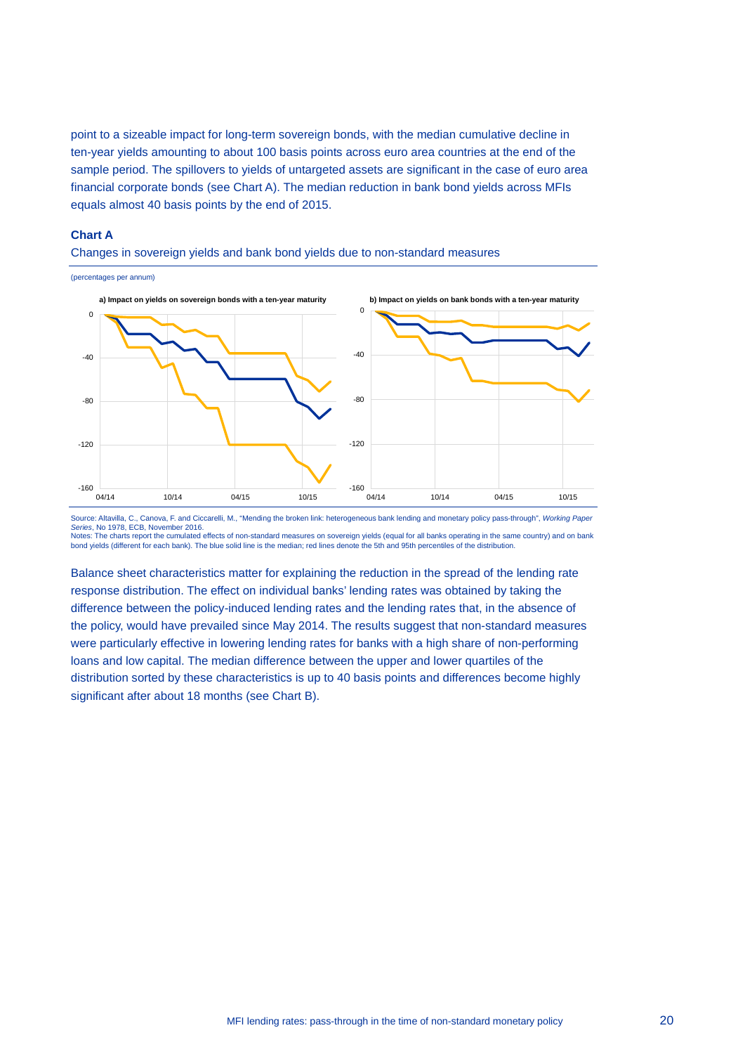point to a sizeable impact for long-term sovereign bonds, with the median cumulative decline in ten-year yields amounting to about 100 basis points across euro area countries at the end of the sample period. The spillovers to yields of untargeted assets are significant in the case of euro area financial corporate bonds (see Chart A). The median reduction in bank bond yields across MFIs equals almost 40 basis points by the end of 2015.

#### **Chart A**

Changes in sovereign yields and bank bond yields due to non-standard measures



Source: Altavilla, C., Canova, F. and Ciccarelli, M., "Mending the broken link: heterogeneous bank lending and monetary policy pass-through", *Working Paper Series*, No 1978, ECB, November 2016. Notes: The charts report the cumulated effects of non-standard measures on sovereign yields (equal for all banks operating in the same country) and on bank bond yields (different for each bank). The blue solid line is the median; red lines denote the 5th and 95th percentiles of the distribution.

Balance sheet characteristics matter for explaining the reduction in the spread of the lending rate response distribution. The effect on individual banks' lending rates was obtained by taking the difference between the policy-induced lending rates and the lending rates that, in the absence of the policy, would have prevailed since May 2014. The results suggest that non-standard measures were particularly effective in lowering lending rates for banks with a high share of non-performing loans and low capital. The median difference between the upper and lower quartiles of the distribution sorted by these characteristics is up to 40 basis points and differences become highly significant after about 18 months (see Chart B).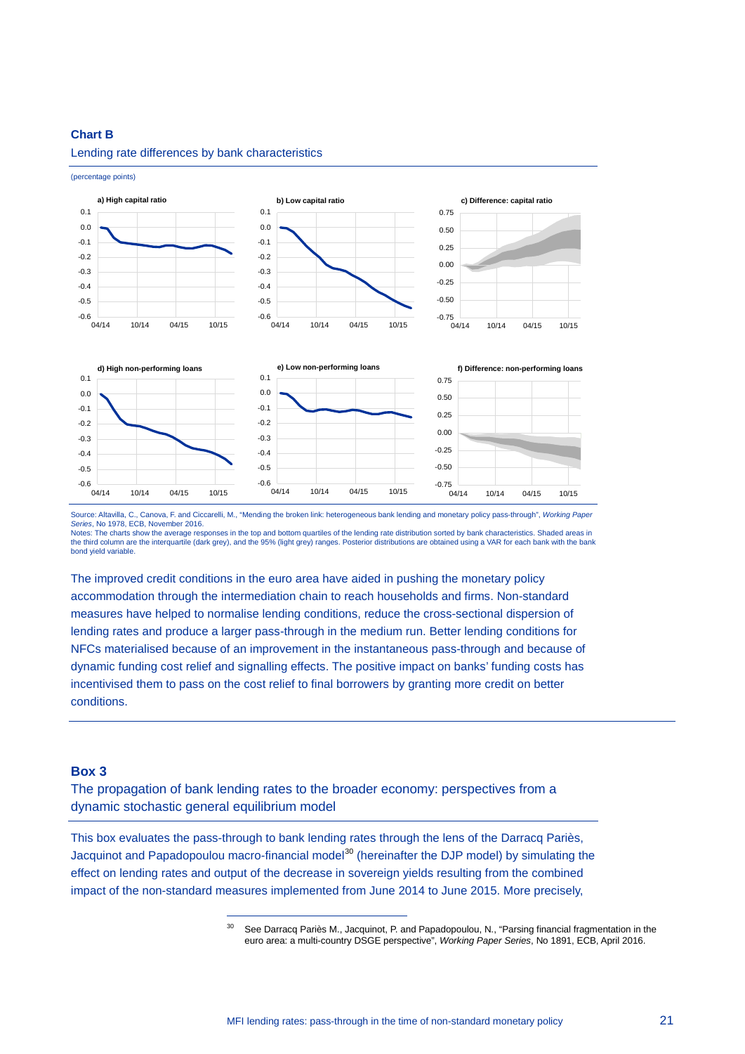#### **Chart B**



#### Lending rate differences by bank characteristics

(percentage points)

bond yield variable.

The improved credit conditions in the euro area have aided in pushing the monetary policy accommodation through the intermediation chain to reach households and firms. Non-standard measures have helped to normalise lending conditions, reduce the cross-sectional dispersion of lending rates and produce a larger pass-through in the medium run. Better lending conditions for NFCs materialised because of an improvement in the instantaneous pass-through and because of dynamic funding cost relief and signalling effects. The positive impact on banks' funding costs has incentivised them to pass on the cost relief to final borrowers by granting more credit on better conditions.

#### **Box 3**

The propagation of bank lending rates to the broader economy: perspectives from a dynamic stochastic general equilibrium model

-

<span id="page-20-0"></span>This box evaluates the pass-through to bank lending rates through the lens of the Darracq Pariès, Jacquinot and Papadopoulou macro-financial model<sup>[30](#page-20-0)</sup> (hereinafter the DJP model) by simulating the effect on lending rates and output of the decrease in sovereign yields resulting from the combined impact of the non-standard measures implemented from June 2014 to June 2015. More precisely,

Source: Altavilla, C., Canova, F. and Ciccarelli, M., "Mending the broken link: heterogeneous bank lending and monetary policy pass-through", *Working Paper Series*, No 1978, ECB, November 2016. Notes: The charts show the average responses in the top and bottom quartiles of the lending rate distribution sorted by bank characteristics. Shaded areas in<br>the third column are the interquartile (dark grey), and the 95%

<sup>&</sup>lt;sup>30</sup> See Darracq Pariès M., Jacquinot, P. and Papadopoulou, N., "Parsing financial fragmentation in the euro area: a multi-country DSGE perspective", *Working Paper Series*, No 1891, ECB, April 2016.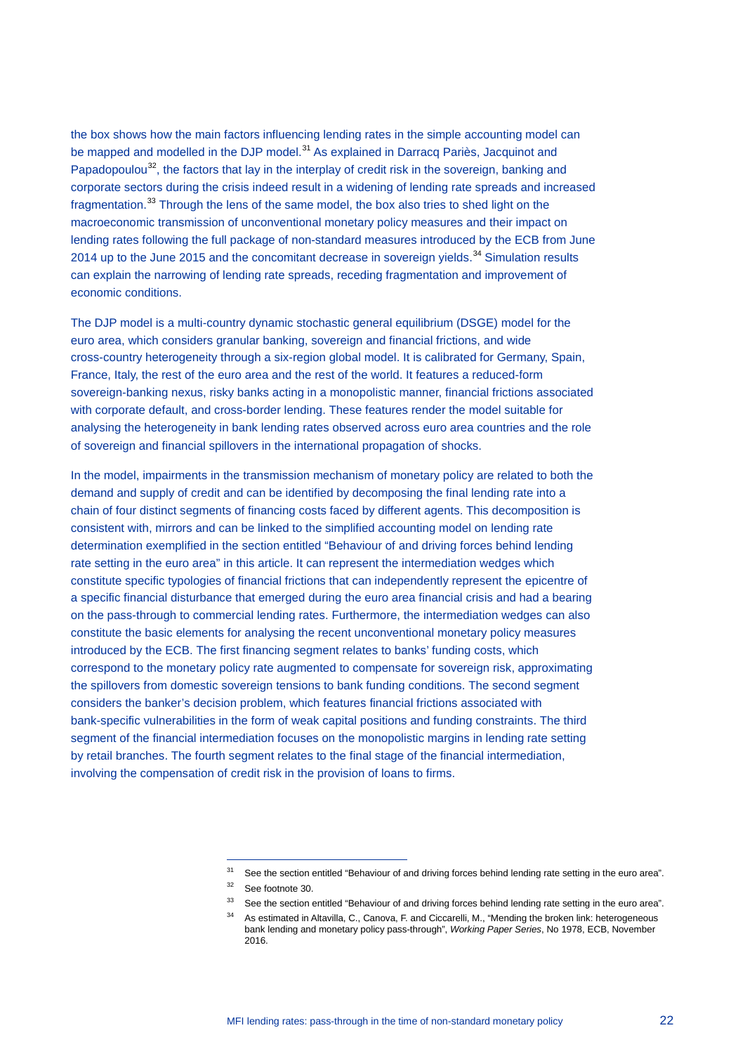the box shows how the main factors influencing lending rates in the simple accounting model can be mapped and modelled in the DJP model.<sup>[31](#page-21-0)</sup> As explained in Darracq Pariès, Jacquinot and Papadopoulou<sup>[32](#page-21-1)</sup>, the factors that lay in the interplay of credit risk in the sovereign, banking and corporate sectors during the crisis indeed result in a widening of lending rate spreads and increased fragmentation.<sup>[33](#page-21-2)</sup> Through the lens of the same model, the box also tries to shed light on the macroeconomic transmission of unconventional monetary policy measures and their impact on lending rates following the full package of non-standard measures introduced by the ECB from June 2014 up to the June 2015 and the concomitant decrease in sovereign yields.<sup>[34](#page-21-3)</sup> Simulation results can explain the narrowing of lending rate spreads, receding fragmentation and improvement of economic conditions.

The DJP model is a multi-country dynamic stochastic general equilibrium (DSGE) model for the euro area, which considers granular banking, sovereign and financial frictions, and wide cross-country heterogeneity through a six-region global model. It is calibrated for Germany, Spain, France, Italy, the rest of the euro area and the rest of the world. It features a reduced-form sovereign-banking nexus, risky banks acting in a monopolistic manner, financial frictions associated with corporate default, and cross-border lending. These features render the model suitable for analysing the heterogeneity in bank lending rates observed across euro area countries and the role of sovereign and financial spillovers in the international propagation of shocks.

In the model, impairments in the transmission mechanism of monetary policy are related to both the demand and supply of credit and can be identified by decomposing the final lending rate into a chain of four distinct segments of financing costs faced by different agents. This decomposition is consistent with, mirrors and can be linked to the simplified accounting model on lending rate determination exemplified in the section entitled "Behaviour of and driving forces behind lending rate setting in the euro area" in this article. It can represent the intermediation wedges which constitute specific typologies of financial frictions that can independently represent the epicentre of a specific financial disturbance that emerged during the euro area financial crisis and had a bearing on the pass-through to commercial lending rates. Furthermore, the intermediation wedges can also constitute the basic elements for analysing the recent unconventional monetary policy measures introduced by the ECB. The first financing segment relates to banks' funding costs, which correspond to the monetary policy rate augmented to compensate for sovereign risk, approximating the spillovers from domestic sovereign tensions to bank funding conditions. The second segment considers the banker's decision problem, which features financial frictions associated with bank-specific vulnerabilities in the form of weak capital positions and funding constraints. The third segment of the financial intermediation focuses on the monopolistic margins in lending rate setting by retail branches. The fourth segment relates to the final stage of the financial intermediation, involving the compensation of credit risk in the provision of loans to firms.

<sup>&</sup>lt;sup>31</sup> See the section entitled "Behaviour of and driving forces behind lending rate setting in the euro area".

<sup>32</sup> See footnote 30.

<span id="page-21-3"></span><span id="page-21-2"></span><span id="page-21-1"></span><span id="page-21-0"></span><sup>&</sup>lt;sup>33</sup> See the section entitled "Behaviour of and driving forces behind lending rate setting in the euro area".

<sup>&</sup>lt;sup>34</sup> As estimated in Altavilla, C., Canova, F. and Ciccarelli, M., "Mending the broken link: heterogeneous bank lending and monetary policy pass-through", *Working Paper Series*, No 1978, ECB, November 2016.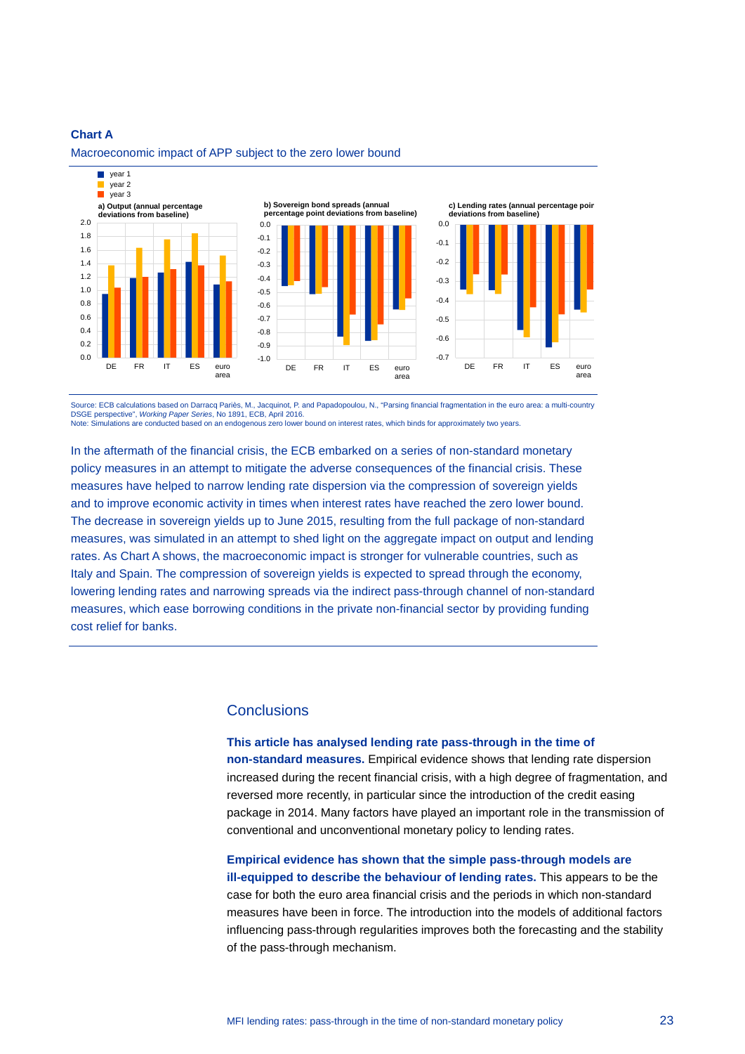#### **Chart A**



Macroeconomic impact of APP subject to the zero lower bound

Source: ECB calculations based on Darracq Pariès, M., Jacquinot, P. and Papadopoulou, N., "Parsing financial fragmentation in the euro area: a multi-country DSGE perspective", *Working Paper Series*, No 1891, ECB, April 2016. Note: Simulations are conducted based on an endogenous zero lower bound on interest rates, which binds for approximately two years.

In the aftermath of the financial crisis, the ECB embarked on a series of non-standard monetary policy measures in an attempt to mitigate the adverse consequences of the financial crisis. These measures have helped to narrow lending rate dispersion via the compression of sovereign yields and to improve economic activity in times when interest rates have reached the zero lower bound. The decrease in sovereign yields up to June 2015, resulting from the full package of non-standard measures, was simulated in an attempt to shed light on the aggregate impact on output and lending rates. As Chart A shows, the macroeconomic impact is stronger for vulnerable countries, such as Italy and Spain. The compression of sovereign yields is expected to spread through the economy, lowering lending rates and narrowing spreads via the indirect pass-through channel of non-standard measures, which ease borrowing conditions in the private non-financial sector by providing funding cost relief for banks.

#### **Conclusions**

**This article has analysed lending rate pass-through in the time of non-standard measures.** Empirical evidence shows that lending rate dispersion increased during the recent financial crisis, with a high degree of fragmentation, and reversed more recently, in particular since the introduction of the credit easing package in 2014. Many factors have played an important role in the transmission of conventional and unconventional monetary policy to lending rates.

**Empirical evidence has shown that the simple pass-through models are ill-equipped to describe the behaviour of lending rates.** This appears to be the case for both the euro area financial crisis and the periods in which non-standard measures have been in force. The introduction into the models of additional factors influencing pass-through regularities improves both the forecasting and the stability of the pass-through mechanism.